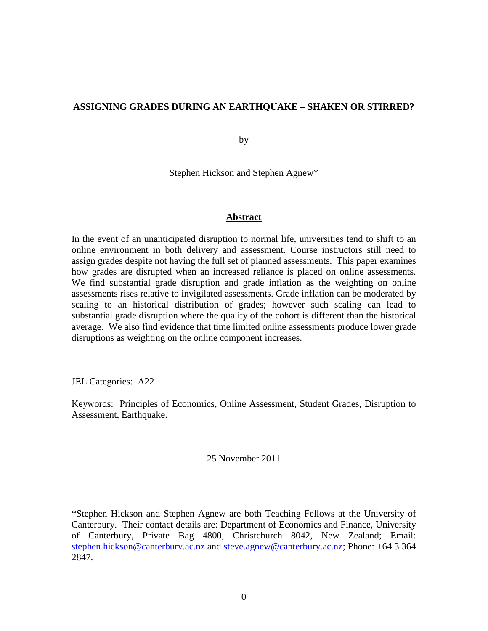### **ASSIGNING GRADES DURING AN EARTHQUAKE – SHAKEN OR STIRRED?**

by

Stephen Hickson and Stephen Agnew\*

### **Abstract**

In the event of an unanticipated disruption to normal life, universities tend to shift to an online environment in both delivery and assessment. Course instructors still need to assign grades despite not having the full set of planned assessments. This paper examines how grades are disrupted when an increased reliance is placed on online assessments. We find substantial grade disruption and grade inflation as the weighting on online assessments rises relative to invigilated assessments. Grade inflation can be moderated by scaling to an historical distribution of grades; however such scaling can lead to substantial grade disruption where the quality of the cohort is different than the historical average. We also find evidence that time limited online assessments produce lower grade disruptions as weighting on the online component increases.

JEL Categories: A22

Keywords: Principles of Economics, Online Assessment, Student Grades, Disruption to Assessment, Earthquake.

#### 25 November 2011

\*Stephen Hickson and Stephen Agnew are both Teaching Fellows at the University of Canterbury. Their contact details are: Department of Economics and Finance, University of Canterbury, Private Bag 4800, Christchurch 8042, New Zealand; Email: [stephen.hickson@canterbury.ac.nz](mailto:stephen.hickson@canterbury.ac.nz) and [steve.agnew@canterbury.ac.nz;](mailto:steve.agnew@canterbury.ac.nz) Phone: +64 3 364 2847.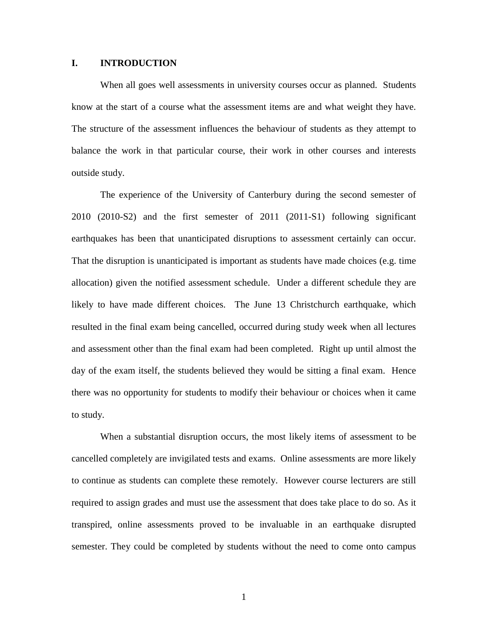### **I. INTRODUCTION**

When all goes well assessments in university courses occur as planned. Students know at the start of a course what the assessment items are and what weight they have. The structure of the assessment influences the behaviour of students as they attempt to balance the work in that particular course, their work in other courses and interests outside study.

The experience of the University of Canterbury during the second semester of 2010 (2010-S2) and the first semester of 2011 (2011-S1) following significant earthquakes has been that unanticipated disruptions to assessment certainly can occur. That the disruption is unanticipated is important as students have made choices (e.g. time allocation) given the notified assessment schedule. Under a different schedule they are likely to have made different choices. The June 13 Christchurch earthquake, which resulted in the final exam being cancelled, occurred during study week when all lectures and assessment other than the final exam had been completed. Right up until almost the day of the exam itself, the students believed they would be sitting a final exam. Hence there was no opportunity for students to modify their behaviour or choices when it came to study.

When a substantial disruption occurs, the most likely items of assessment to be cancelled completely are invigilated tests and exams. Online assessments are more likely to continue as students can complete these remotely. However course lecturers are still required to assign grades and must use the assessment that does take place to do so. As it transpired, online assessments proved to be invaluable in an earthquake disrupted semester. They could be completed by students without the need to come onto campus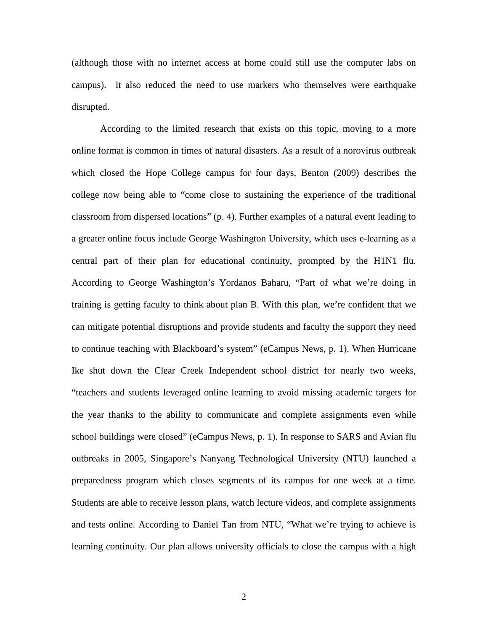(although those with no internet access at home could still use the computer labs on campus). It also reduced the need to use markers who themselves were earthquake disrupted.

According to the limited research that exists on this topic, moving to a more online format is common in times of natural disasters. As a result of a norovirus outbreak which closed the Hope College campus for four days, Benton (2009) describes the college now being able to "come close to sustaining the experience of the traditional classroom from dispersed locations" (p. 4). Further examples of a natural event leading to a greater online focus include George Washington University, which uses e-learning as a central part of their plan for educational continuity, prompted by the H1N1 flu. According to George Washington's Yordanos Baharu, "Part of what we're doing in training is getting faculty to think about plan B. With this plan, we're confident that we can mitigate potential disruptions and provide students and faculty the support they need to continue teaching with Blackboard's system" (eCampus News, p. 1). When Hurricane Ike shut down the Clear Creek Independent school district for nearly two weeks, "teachers and students leveraged online learning to avoid missing academic targets for the year thanks to the ability to communicate and complete assignments even while school buildings were closed" (eCampus News, p. 1). In response to SARS and Avian flu outbreaks in 2005, Singapore's Nanyang Technological University (NTU) launched a preparedness program which closes segments of its campus for one week at a time. Students are able to receive lesson plans, watch lecture videos, and complete assignments and tests online. According to Daniel Tan from NTU, "What we're trying to achieve is learning continuity. Our plan allows university officials to close the campus with a high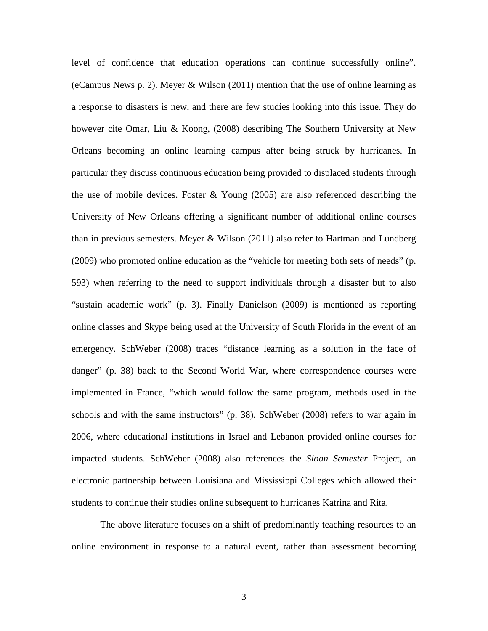level of confidence that education operations can continue successfully online". (eCampus News p. 2). Meyer & Wilson (2011) mention that the use of online learning as a response to disasters is new, and there are few studies looking into this issue. They do however cite Omar, Liu & Koong, (2008) describing The Southern University at New Orleans becoming an online learning campus after being struck by hurricanes. In particular they discuss continuous education being provided to displaced students through the use of mobile devices. Foster & Young (2005) are also referenced describing the University of New Orleans offering a significant number of additional online courses than in previous semesters. Meyer  $& Wilson (2011)$  also refer to Hartman and Lundberg (2009) who promoted online education as the "vehicle for meeting both sets of needs" (p. 593) when referring to the need to support individuals through a disaster but to also "sustain academic work" (p. 3). Finally Danielson (2009) is mentioned as reporting online classes and Skype being used at the University of South Florida in the event of an emergency. SchWeber (2008) traces "distance learning as a solution in the face of danger" (p. 38) back to the Second World War, where correspondence courses were implemented in France, "which would follow the same program, methods used in the schools and with the same instructors" (p. 38). SchWeber (2008) refers to war again in 2006, where educational institutions in Israel and Lebanon provided online courses for impacted students. SchWeber (2008) also references the *Sloan Semester* Project, an electronic partnership between Louisiana and Mississippi Colleges which allowed their students to continue their studies online subsequent to hurricanes Katrina and Rita.

The above literature focuses on a shift of predominantly teaching resources to an online environment in response to a natural event, rather than assessment becoming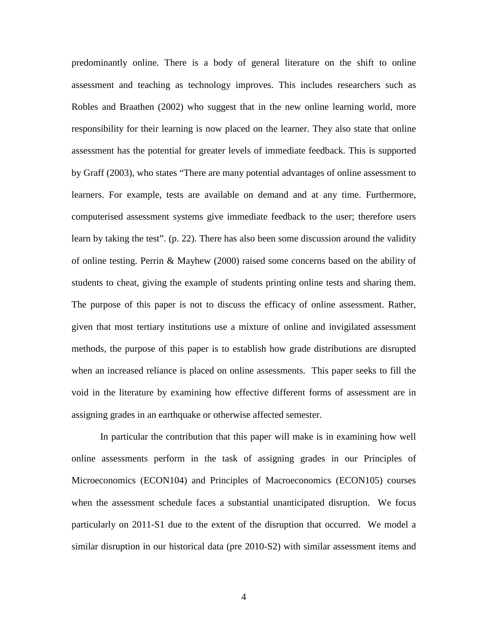predominantly online. There is a body of general literature on the shift to online assessment and teaching as technology improves. This includes researchers such as Robles and Braathen (2002) who suggest that in the new online learning world, more responsibility for their learning is now placed on the learner. They also state that online assessment has the potential for greater levels of immediate feedback. This is supported by Graff (2003), who states "There are many potential advantages of online assessment to learners. For example, tests are available on demand and at any time. Furthermore, computerised assessment systems give immediate feedback to the user; therefore users learn by taking the test". (p. 22). There has also been some discussion around the validity of online testing. Perrin & Mayhew (2000) raised some concerns based on the ability of students to cheat, giving the example of students printing online tests and sharing them. The purpose of this paper is not to discuss the efficacy of online assessment. Rather, given that most tertiary institutions use a mixture of online and invigilated assessment methods, the purpose of this paper is to establish how grade distributions are disrupted when an increased reliance is placed on online assessments. This paper seeks to fill the void in the literature by examining how effective different forms of assessment are in assigning grades in an earthquake or otherwise affected semester.

In particular the contribution that this paper will make is in examining how well online assessments perform in the task of assigning grades in our Principles of Microeconomics (ECON104) and Principles of Macroeconomics (ECON105) courses when the assessment schedule faces a substantial unanticipated disruption. We focus particularly on 2011-S1 due to the extent of the disruption that occurred. We model a similar disruption in our historical data (pre 2010-S2) with similar assessment items and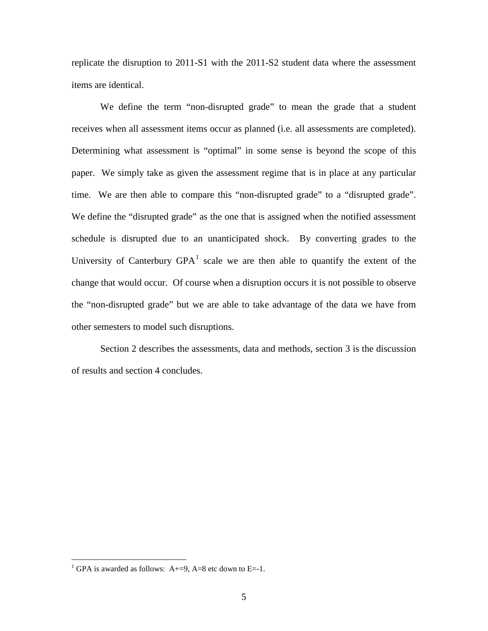replicate the disruption to 2011-S1 with the 2011-S2 student data where the assessment items are identical.

We define the term "non-disrupted grade" to mean the grade that a student receives when all assessment items occur as planned (i.e. all assessments are completed). Determining what assessment is "optimal" in some sense is beyond the scope of this paper. We simply take as given the assessment regime that is in place at any particular time. We are then able to compare this "non-disrupted grade" to a "disrupted grade". We define the "disrupted grade" as the one that is assigned when the notified assessment schedule is disrupted due to an unanticipated shock. By converting grades to the University of Canterbury  $GPA<sup>1</sup>$  $GPA<sup>1</sup>$  $GPA<sup>1</sup>$  scale we are then able to quantify the extent of the change that would occur. Of course when a disruption occurs it is not possible to observe the "non-disrupted grade" but we are able to take advantage of the data we have from other semesters to model such disruptions.

Section 2 describes the assessments, data and methods, section 3 is the discussion of results and section 4 concludes.

<span id="page-5-0"></span><sup>&</sup>lt;sup>1</sup> GPA is awarded as follows: A+=9, A=8 etc down to E=-1.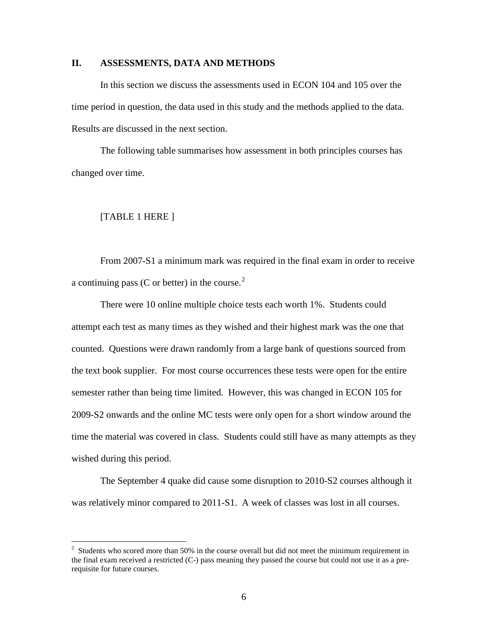### **II. ASSESSMENTS, DATA AND METHODS**

In this section we discuss the assessments used in ECON 104 and 105 over the time period in question, the data used in this study and the methods applied to the data. Results are discussed in the next section.

The following table summarises how assessment in both principles courses has changed over time.

#### [TABLE 1 HERE ]

From 2007-S1 a minimum mark was required in the final exam in order to receive a continuing pass (C or better) in the course. $2$ 

There were 10 online multiple choice tests each worth 1%. Students could attempt each test as many times as they wished and their highest mark was the one that counted. Questions were drawn randomly from a large bank of questions sourced from the text book supplier. For most course occurrences these tests were open for the entire semester rather than being time limited. However, this was changed in ECON 105 for 2009-S2 onwards and the online MC tests were only open for a short window around the time the material was covered in class. Students could still have as many attempts as they wished during this period.

The September 4 quake did cause some disruption to 2010-S2 courses although it was relatively minor compared to 2011-S1. A week of classes was lost in all courses.

<span id="page-6-0"></span> $\frac{1}{2}$  $3\sigma$  Students who scored more than 50% in the course overall but did not meet the minimum requirement in the final exam received a restricted (C-) pass meaning they passed the course but could not use it as a prerequisite for future courses.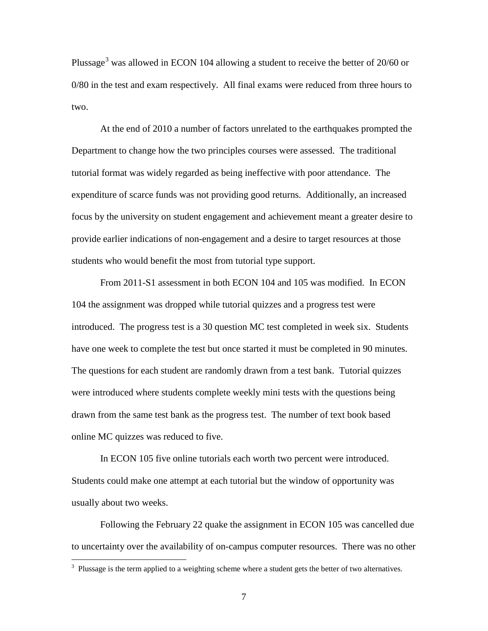Plussage<sup>[3](#page-7-0)</sup> was allowed in ECON 104 allowing a student to receive the better of 20/60 or 0/80 in the test and exam respectively. All final exams were reduced from three hours to two.

At the end of 2010 a number of factors unrelated to the earthquakes prompted the Department to change how the two principles courses were assessed. The traditional tutorial format was widely regarded as being ineffective with poor attendance. The expenditure of scarce funds was not providing good returns. Additionally, an increased focus by the university on student engagement and achievement meant a greater desire to provide earlier indications of non-engagement and a desire to target resources at those students who would benefit the most from tutorial type support.

From 2011-S1 assessment in both ECON 104 and 105 was modified. In ECON 104 the assignment was dropped while tutorial quizzes and a progress test were introduced. The progress test is a 30 question MC test completed in week six. Students have one week to complete the test but once started it must be completed in 90 minutes. The questions for each student are randomly drawn from a test bank. Tutorial quizzes were introduced where students complete weekly mini tests with the questions being drawn from the same test bank as the progress test. The number of text book based online MC quizzes was reduced to five.

In ECON 105 five online tutorials each worth two percent were introduced. Students could make one attempt at each tutorial but the window of opportunity was usually about two weeks.

Following the February 22 quake the assignment in ECON 105 was cancelled due to uncertainty over the availability of on-campus computer resources. There was no other

<span id="page-7-0"></span> $3$  Plussage is the term applied to a weighting scheme where a student gets the better of two alternatives.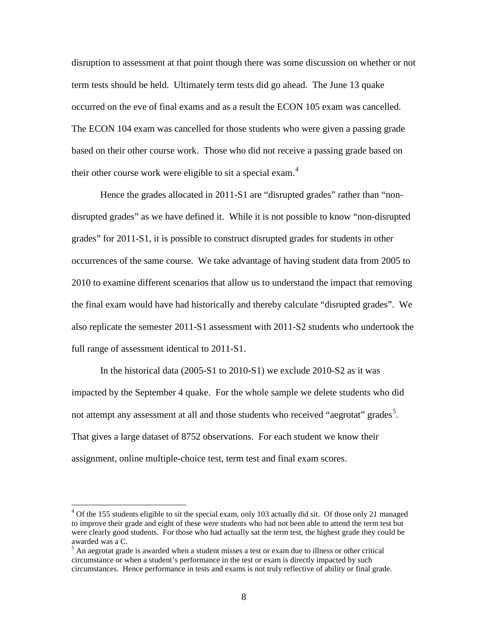disruption to assessment at that point though there was some discussion on whether or not term tests should be held. Ultimately term tests did go ahead. The June 13 quake occurred on the eve of final exams and as a result the ECON 105 exam was cancelled. The ECON 104 exam was cancelled for those students who were given a passing grade based on their other course work. Those who did not receive a passing grade based on their other course work were eligible to sit a special exam. $4$ 

Hence the grades allocated in 2011-S1 are "disrupted grades" rather than "nondisrupted grades" as we have defined it. While it is not possible to know "non-disrupted grades" for 2011-S1, it is possible to construct disrupted grades for students in other occurrences of the same course. We take advantage of having student data from 2005 to 2010 to examine different scenarios that allow us to understand the impact that removing the final exam would have had historically and thereby calculate "disrupted grades". We also replicate the semester 2011-S1 assessment with 2011-S2 students who undertook the full range of assessment identical to 2011-S1.

In the historical data (2005-S1 to 2010-S1) we exclude 2010-S2 as it was impacted by the September 4 quake. For the whole sample we delete students who did not attempt any assessment at all and those students who received "aegrotat" grades<sup>[5](#page-8-1)</sup>. That gives a large dataset of 8752 observations. For each student we know their assignment, online multiple-choice test, term test and final exam scores.

<span id="page-8-0"></span> $4$  Of the 155 students eligible to sit the special exam, only 103 actually did sit. Of those only 21 managed to improve their grade and eight of these were students who had not been able to attend the term test but were clearly good students. For those who had actually sat the term test, the highest grade they could be awarded was a C.

<span id="page-8-1"></span><sup>&</sup>lt;sup>5</sup> An aegrotat grade is awarded when a student misses a test or exam due to illness or other critical circumstance or when a student's performance in the test or exam is directly impacted by such circumstances. Hence performance in tests and exams is not truly reflective of ability or final grade.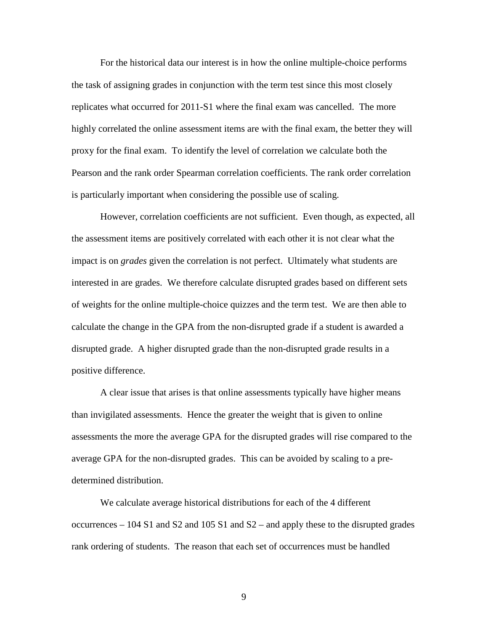For the historical data our interest is in how the online multiple-choice performs the task of assigning grades in conjunction with the term test since this most closely replicates what occurred for 2011-S1 where the final exam was cancelled. The more highly correlated the online assessment items are with the final exam, the better they will proxy for the final exam. To identify the level of correlation we calculate both the Pearson and the rank order Spearman correlation coefficients. The rank order correlation is particularly important when considering the possible use of scaling.

However, correlation coefficients are not sufficient. Even though, as expected, all the assessment items are positively correlated with each other it is not clear what the impact is on *grades* given the correlation is not perfect. Ultimately what students are interested in are grades. We therefore calculate disrupted grades based on different sets of weights for the online multiple-choice quizzes and the term test. We are then able to calculate the change in the GPA from the non-disrupted grade if a student is awarded a disrupted grade. A higher disrupted grade than the non-disrupted grade results in a positive difference.

A clear issue that arises is that online assessments typically have higher means than invigilated assessments. Hence the greater the weight that is given to online assessments the more the average GPA for the disrupted grades will rise compared to the average GPA for the non-disrupted grades. This can be avoided by scaling to a predetermined distribution.

We calculate average historical distributions for each of the 4 different occurrences  $-104 S1$  and S2 and 105 S1 and S2 – and apply these to the disrupted grades rank ordering of students. The reason that each set of occurrences must be handled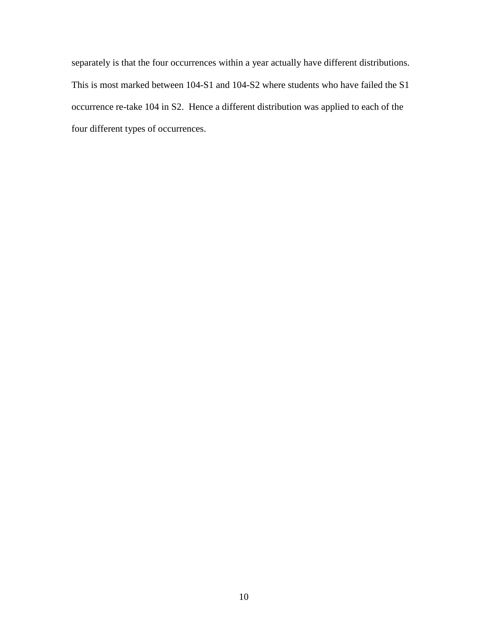separately is that the four occurrences within a year actually have different distributions. This is most marked between 104-S1 and 104-S2 where students who have failed the S1 occurrence re-take 104 in S2. Hence a different distribution was applied to each of the four different types of occurrences.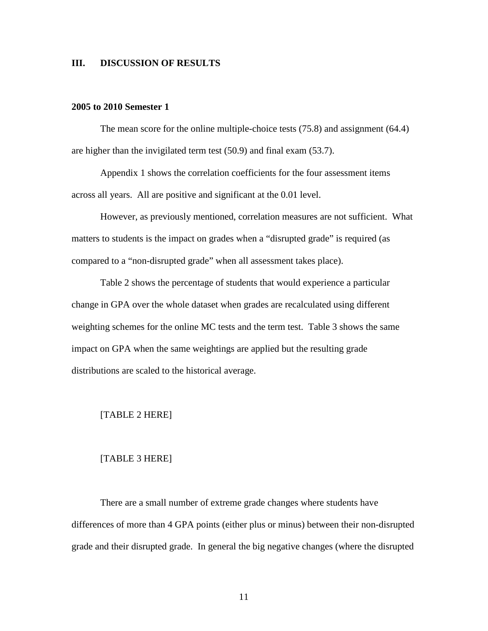### **III. DISCUSSION OF RESULTS**

### **2005 to 2010 Semester 1**

The mean score for the online multiple-choice tests (75.8) and assignment (64.4) are higher than the invigilated term test (50.9) and final exam (53.7).

Appendix 1 shows the correlation coefficients for the four assessment items across all years. All are positive and significant at the 0.01 level.

However, as previously mentioned, correlation measures are not sufficient. What matters to students is the impact on grades when a "disrupted grade" is required (as compared to a "non-disrupted grade" when all assessment takes place).

Table 2 shows the percentage of students that would experience a particular change in GPA over the whole dataset when grades are recalculated using different weighting schemes for the online MC tests and the term test. Table 3 shows the same impact on GPA when the same weightings are applied but the resulting grade distributions are scaled to the historical average.

#### [TABLE 2 HERE]

#### [TABLE 3 HERE]

There are a small number of extreme grade changes where students have differences of more than 4 GPA points (either plus or minus) between their non-disrupted grade and their disrupted grade. In general the big negative changes (where the disrupted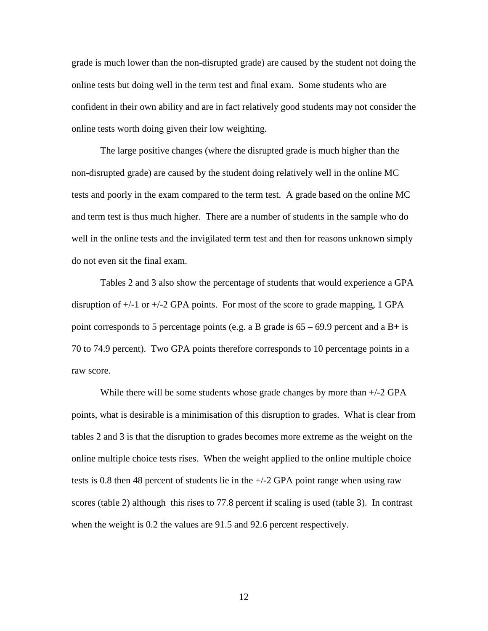grade is much lower than the non-disrupted grade) are caused by the student not doing the online tests but doing well in the term test and final exam. Some students who are confident in their own ability and are in fact relatively good students may not consider the online tests worth doing given their low weighting.

The large positive changes (where the disrupted grade is much higher than the non-disrupted grade) are caused by the student doing relatively well in the online MC tests and poorly in the exam compared to the term test. A grade based on the online MC and term test is thus much higher. There are a number of students in the sample who do well in the online tests and the invigilated term test and then for reasons unknown simply do not even sit the final exam.

Tables 2 and 3 also show the percentage of students that would experience a GPA disruption of  $+/-1$  or  $+/-2$  GPA points. For most of the score to grade mapping, 1 GPA point corresponds to 5 percentage points (e.g. a B grade is  $65 - 69.9$  percent and a B+ is 70 to 74.9 percent). Two GPA points therefore corresponds to 10 percentage points in a raw score.

While there will be some students whose grade changes by more than  $+/-2$  GPA points, what is desirable is a minimisation of this disruption to grades. What is clear from tables 2 and 3 is that the disruption to grades becomes more extreme as the weight on the online multiple choice tests rises. When the weight applied to the online multiple choice tests is 0.8 then 48 percent of students lie in the +/-2 GPA point range when using raw scores (table 2) although this rises to 77.8 percent if scaling is used (table 3). In contrast when the weight is 0.2 the values are 91.5 and 92.6 percent respectively.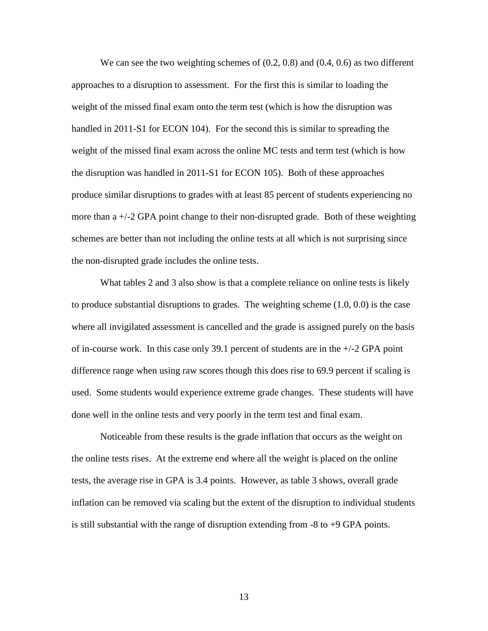We can see the two weighting schemes of  $(0.2, 0.8)$  and  $(0.4, 0.6)$  as two different approaches to a disruption to assessment. For the first this is similar to loading the weight of the missed final exam onto the term test (which is how the disruption was handled in 2011-S1 for ECON 104). For the second this is similar to spreading the weight of the missed final exam across the online MC tests and term test (which is how the disruption was handled in 2011-S1 for ECON 105). Both of these approaches produce similar disruptions to grades with at least 85 percent of students experiencing no more than  $a +1/2$  GPA point change to their non-disrupted grade. Both of these weighting schemes are better than not including the online tests at all which is not surprising since the non-disrupted grade includes the online tests.

What tables 2 and 3 also show is that a complete reliance on online tests is likely to produce substantial disruptions to grades. The weighting scheme (1.0, 0.0) is the case where all invigilated assessment is cancelled and the grade is assigned purely on the basis of in-course work. In this case only 39.1 percent of students are in the  $+/-2$  GPA point difference range when using raw scores though this does rise to 69.9 percent if scaling is used. Some students would experience extreme grade changes. These students will have done well in the online tests and very poorly in the term test and final exam.

Noticeable from these results is the grade inflation that occurs as the weight on the online tests rises. At the extreme end where all the weight is placed on the online tests, the average rise in GPA is 3.4 points. However, as table 3 shows, overall grade inflation can be removed via scaling but the extent of the disruption to individual students is still substantial with the range of disruption extending from -8 to +9 GPA points.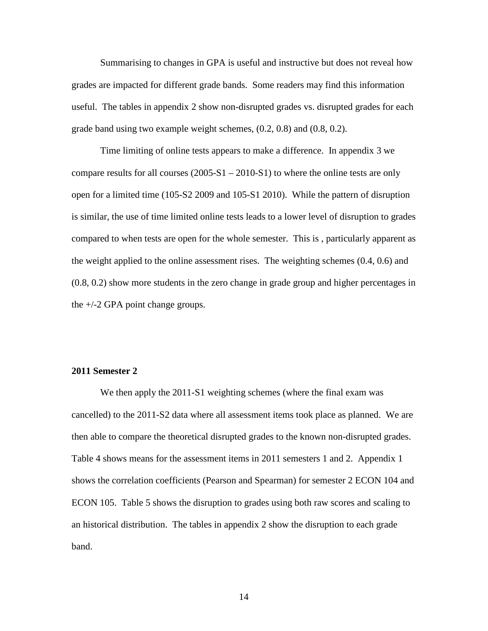Summarising to changes in GPA is useful and instructive but does not reveal how grades are impacted for different grade bands. Some readers may find this information useful. The tables in appendix 2 show non-disrupted grades vs. disrupted grades for each grade band using two example weight schemes, (0.2, 0.8) and (0.8, 0.2).

Time limiting of online tests appears to make a difference. In appendix 3 we compare results for all courses  $(2005-S1 - 2010-S1)$  to where the online tests are only open for a limited time (105-S2 2009 and 105-S1 2010). While the pattern of disruption is similar, the use of time limited online tests leads to a lower level of disruption to grades compared to when tests are open for the whole semester. This is , particularly apparent as the weight applied to the online assessment rises. The weighting schemes (0.4, 0.6) and (0.8, 0.2) show more students in the zero change in grade group and higher percentages in the +/-2 GPA point change groups.

#### **2011 Semester 2**

We then apply the 2011-S1 weighting schemes (where the final exam was cancelled) to the 2011-S2 data where all assessment items took place as planned. We are then able to compare the theoretical disrupted grades to the known non-disrupted grades. Table 4 shows means for the assessment items in 2011 semesters 1 and 2. Appendix 1 shows the correlation coefficients (Pearson and Spearman) for semester 2 ECON 104 and ECON 105. Table 5 shows the disruption to grades using both raw scores and scaling to an historical distribution. The tables in appendix 2 show the disruption to each grade band.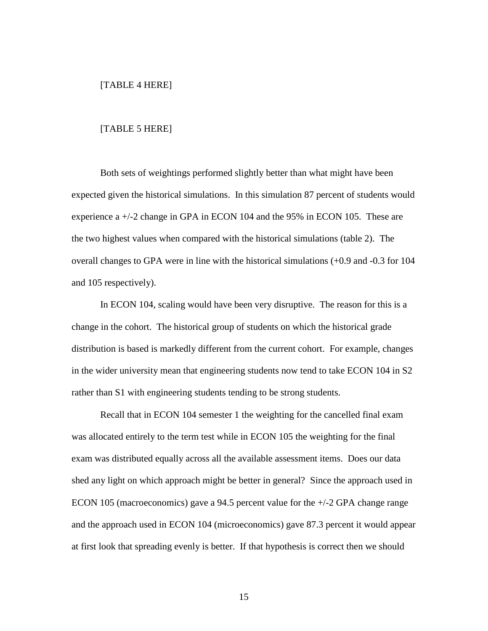#### [TABLE 4 HERE]

#### [TABLE 5 HERE]

Both sets of weightings performed slightly better than what might have been expected given the historical simulations. In this simulation 87 percent of students would experience a +/-2 change in GPA in ECON 104 and the 95% in ECON 105. These are the two highest values when compared with the historical simulations (table 2). The overall changes to GPA were in line with the historical simulations (+0.9 and -0.3 for 104 and 105 respectively).

In ECON 104, scaling would have been very disruptive. The reason for this is a change in the cohort. The historical group of students on which the historical grade distribution is based is markedly different from the current cohort. For example, changes in the wider university mean that engineering students now tend to take ECON 104 in S2 rather than S1 with engineering students tending to be strong students.

Recall that in ECON 104 semester 1 the weighting for the cancelled final exam was allocated entirely to the term test while in ECON 105 the weighting for the final exam was distributed equally across all the available assessment items. Does our data shed any light on which approach might be better in general? Since the approach used in ECON 105 (macroeconomics) gave a 94.5 percent value for the +/-2 GPA change range and the approach used in ECON 104 (microeconomics) gave 87.3 percent it would appear at first look that spreading evenly is better. If that hypothesis is correct then we should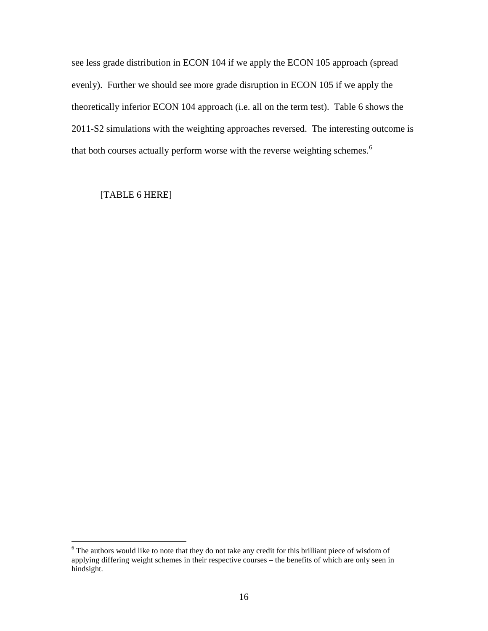see less grade distribution in ECON 104 if we apply the ECON 105 approach (spread evenly). Further we should see more grade disruption in ECON 105 if we apply the theoretically inferior ECON 104 approach (i.e. all on the term test). Table 6 shows the 2011-S2 simulations with the weighting approaches reversed. The interesting outcome is that both courses actually perform worse with the reverse weighting schemes.<sup>[6](#page-16-0)</sup>

### [TABLE 6 HERE]

<span id="page-16-0"></span><sup>&</sup>lt;sup>6</sup> The authors would like to note that they do not take any credit for this brilliant piece of wisdom of applying differing weight schemes in their respective courses – the benefits of which are only seen in hindsight.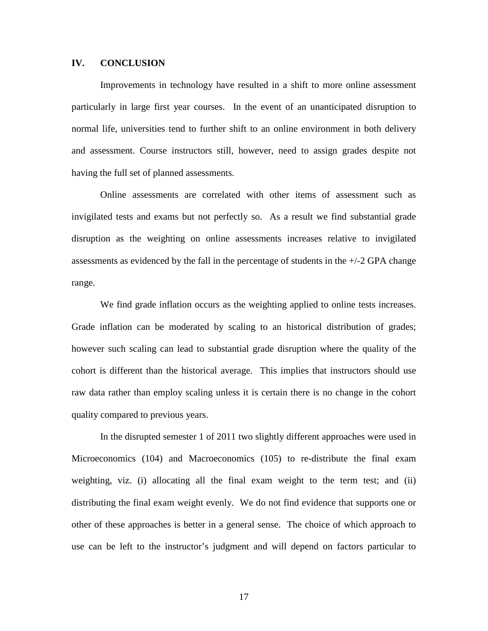### **IV. CONCLUSION**

Improvements in technology have resulted in a shift to more online assessment particularly in large first year courses. In the event of an unanticipated disruption to normal life, universities tend to further shift to an online environment in both delivery and assessment. Course instructors still, however, need to assign grades despite not having the full set of planned assessments.

Online assessments are correlated with other items of assessment such as invigilated tests and exams but not perfectly so. As a result we find substantial grade disruption as the weighting on online assessments increases relative to invigilated assessments as evidenced by the fall in the percentage of students in the  $+/-2$  GPA change range.

We find grade inflation occurs as the weighting applied to online tests increases. Grade inflation can be moderated by scaling to an historical distribution of grades; however such scaling can lead to substantial grade disruption where the quality of the cohort is different than the historical average. This implies that instructors should use raw data rather than employ scaling unless it is certain there is no change in the cohort quality compared to previous years.

In the disrupted semester 1 of 2011 two slightly different approaches were used in Microeconomics (104) and Macroeconomics (105) to re-distribute the final exam weighting, viz. (i) allocating all the final exam weight to the term test; and (ii) distributing the final exam weight evenly. We do not find evidence that supports one or other of these approaches is better in a general sense. The choice of which approach to use can be left to the instructor's judgment and will depend on factors particular to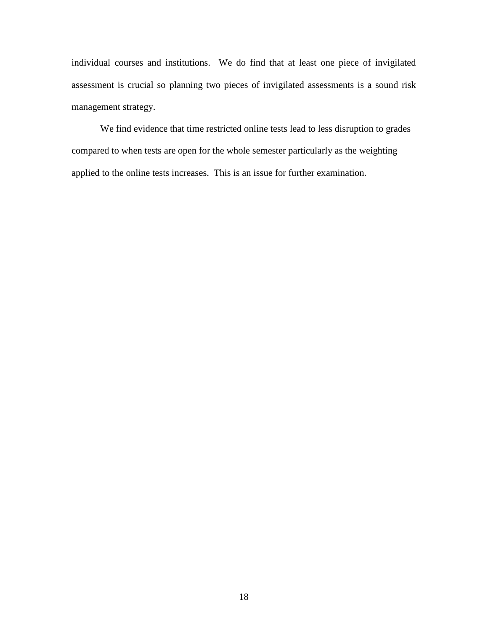individual courses and institutions. We do find that at least one piece of invigilated assessment is crucial so planning two pieces of invigilated assessments is a sound risk management strategy.

We find evidence that time restricted online tests lead to less disruption to grades compared to when tests are open for the whole semester particularly as the weighting applied to the online tests increases. This is an issue for further examination.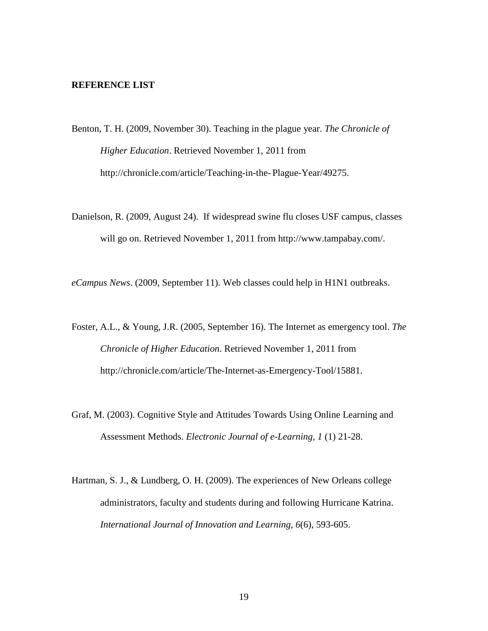#### **REFERENCE LIST**

- Benton, T. H. (2009, November 30). Teaching in the plague year. *The Chronicle of Higher Education*. Retrieved November 1, 2011 from http://chronicle.com/article/Teaching-in-the- Plague-Year/49275.
- Danielson, R. (2009, August 24). If widespread swine flu closes USF campus, classes will go on. Retrieved November 1, 2011 from http://www.tampabay.com/.

*eCampus News*. (2009, September 11). Web classes could help in H1N1 outbreaks.

- Foster, A.L., & Young, J.R. (2005, September 16). The Internet as emergency tool. *The Chronicle of Higher Education*. Retrieved November 1, 2011 from http://chronicle.com/article/The-Internet-as-Emergency-Tool/15881.
- Graf, M. (2003). Cognitive Style and Attitudes Towards Using Online Learning and Assessment Methods. *Electronic Journal of e-Learning, 1* (1) 21-28.
- Hartman, S. J., & Lundberg, O. H. (2009). The experiences of New Orleans college administrators, faculty and students during and following Hurricane Katrina. *International Journal of Innovation and Learning, 6*(6), 593-605.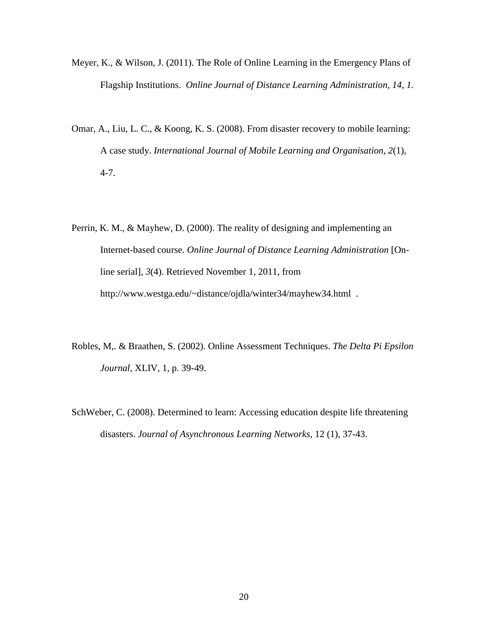- Meyer, K., & Wilson, J. (2011). The Role of Online Learning in the Emergency Plans of Flagship Institutions. *Online Journal of Distance Learning Administration, 14, 1.*
- Omar, A., Liu, L. C., & Koong, K. S. (2008). From disaster recovery to mobile learning: A case study. *International Journal of Mobile Learning and Organisation, 2*(1), 4-7.
- Perrin, K. M., & Mayhew, D. (2000). The reality of designing and implementing an Internet-based course. *Online Journal of Distance Learning Administration* [Online serial], *3*(4). Retrieved November 1, 2011, from http://www.westga.edu/~distance/ojdla/winter34/mayhew34.html .
- Robles, M,. & Braathen, S. (2002). Online Assessment Techniques. *The Delta Pi Epsilon Journal*, XLIV, 1, p. 39-49.
- SchWeber, C. (2008). Determined to learn: Accessing education despite life threatening disasters. *Journal of Asynchronous Learning Networks,* 12 (1), 37-43.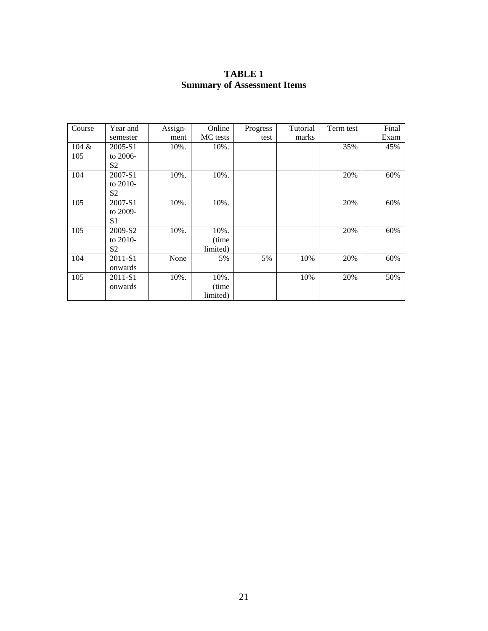| <b>TABLE 1</b>                     |
|------------------------------------|
| <b>Summary of Assessment Items</b> |

| Course | Year and | Assign- | Online   | Progress | Tutorial | Term test | Final |
|--------|----------|---------|----------|----------|----------|-----------|-------|
|        | semester | ment    | MC tests | test     | marks    |           | Exam  |
| 104 &  | 2005-S1  | 10%.    | 10%.     |          |          | 35%       | 45%   |
| 105    | to 2006- |         |          |          |          |           |       |
|        | S2       |         |          |          |          |           |       |
| 104    | 2007-S1  | 10%.    | 10%.     |          |          | 20%       | 60%   |
|        | to 2010- |         |          |          |          |           |       |
|        | S2       |         |          |          |          |           |       |
| 105    | 2007-S1  | 10%.    | 10%.     |          |          | 20%       | 60%   |
|        | to 2009- |         |          |          |          |           |       |
|        | S1       |         |          |          |          |           |       |
| 105    | 2009-S2  | 10%.    | 10%.     |          |          | 20%       | 60%   |
|        | to 2010- |         | (time    |          |          |           |       |
|        | S2       |         | limited) |          |          |           |       |
| 104    | 2011-S1  | None    | 5%       | 5%       | 10%      | 20%       | 60%   |
|        | onwards  |         |          |          |          |           |       |
| 105    | 2011-S1  | 10%.    | 10%.     |          | 10%      | 20%       | 50%   |
|        | onwards  |         | (time)   |          |          |           |       |
|        |          |         | limited) |          |          |           |       |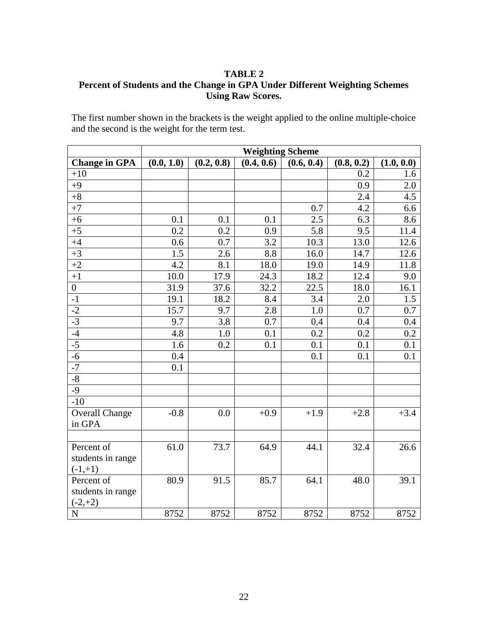## **TABLE 2**

## **Percent of Students and the Change in GPA Under Different Weighting Schemes Using Raw Scores.**

The first number shown in the brackets is the weight applied to the online multiple-choice and the second is the weight for the term test.

|                         | <b>Weighting Scheme</b> |            |            |            |            |            |
|-------------------------|-------------------------|------------|------------|------------|------------|------------|
| <b>Change in GPA</b>    | (0.0, 1.0)              | (0.2, 0.8) | (0.4, 0.6) | (0.6, 0.4) | (0.8, 0.2) | (1.0, 0.0) |
| $+10$                   |                         |            |            |            | 0.2        | 1.6        |
| $+9$                    |                         |            |            |            | 0.9        | 2.0        |
| $+8$                    |                         |            |            |            | 2.4        | 4.5        |
| $+7$                    |                         |            |            | 0.7        | 4.2        | 6.6        |
| $+6$                    | 0.1                     | 0.1        | 0.1        | 2.5        | 6.3        | 8.6        |
| $+5$                    | 0.2                     | 0.2        | 0.9        | 5.8        | 9.5        | 11.4       |
| $+4$                    | 0.6                     | 0.7        | 3.2        | 10.3       | 13.0       | 12.6       |
| $+3$                    | 1.5                     | 2.6        | 8.8        | 16.0       | 14.7       | 12.6       |
| $+2$                    | 4.2                     | 8.1        | 18.0       | 19.0       | 14.9       | 11.8       |
| $+1$                    | 10.0                    | 17.9       | 24.3       | 18.2       | 12.4       | 9.0        |
| $\boldsymbol{0}$        | 31.9                    | 37.6       | 32.2       | 22.5       | 18.0       | 16.1       |
| $-1$                    | 19.1                    | 18.2       | 8.4        | 3.4        | 2.0        | 1.5        |
| $-2$                    | 15.7                    | 9.7        | 2.8        | 1.0        | 0.7        | 0.7        |
| $-3$                    | 9.7                     | 3.8        | 0.7        | 0.4        | 0.4        | 0.4        |
| $-4$                    | 4.8                     | 1.0        | 0.1        | 0.2        | 0.2        | 0.2        |
| $-5$                    | 1.6                     | 0.2        | 0.1        | 0.1        | 0.1        | 0.1        |
| $-6$                    | 0.4                     |            |            | 0.1        | 0.1        | 0.1        |
| $-7$                    | 0.1                     |            |            |            |            |            |
| $-8$                    |                         |            |            |            |            |            |
| $-9$                    |                         |            |            |            |            |            |
| $-10$                   |                         |            |            |            |            |            |
| <b>Overall Change</b>   | $-0.8$                  | 0.0        | $+0.9$     | $+1.9$     | $+2.8$     | $+3.4$     |
| in GPA                  |                         |            |            |            |            |            |
|                         |                         |            |            |            |            |            |
| Percent of              | 61.0                    | 73.7       | 64.9       | 44.1       | 32.4       | 26.6       |
| students in range       |                         |            |            |            |            |            |
| $(-1,+1)$               |                         |            |            |            |            |            |
| Percent of              | 80.9                    | 91.5       | 85.7       | 64.1       | 48.0       | 39.1       |
| students in range       |                         |            |            |            |            |            |
| $(-2,+2)$               |                         |            |            |            |            |            |
| $\overline{\mathbf{N}}$ | 8752                    | 8752       | 8752       | 8752       | 8752       | 8752       |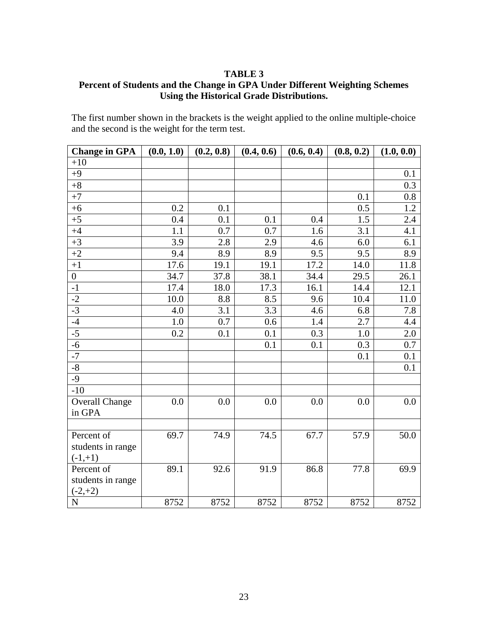### **TABLE 3**

## **Percent of Students and the Change in GPA Under Different Weighting Schemes Using the Historical Grade Distributions.**

The first number shown in the brackets is the weight applied to the online multiple-choice and the second is the weight for the term test.

| <b>Change in GPA</b>    | (0.0, 1.0) | (0.2, 0.8) | (0.4, 0.6) | (0.6, 0.4) | (0.8, 0.2) | (1.0, 0.0) |
|-------------------------|------------|------------|------------|------------|------------|------------|
| $+10$                   |            |            |            |            |            |            |
| $+9$                    |            |            |            |            |            | 0.1        |
| $+8$                    |            |            |            |            |            | 0.3        |
| $+7$                    |            |            |            |            | 0.1        | 0.8        |
| $+6$                    | 0.2        | 0.1        |            |            | 0.5        | 1.2        |
| $+5$                    | 0.4        | 0.1        | 0.1        | 0.4        | 1.5        | 2.4        |
| $+4$                    | 1.1        | 0.7        | 0.7        | 1.6        | 3.1        | 4.1        |
| $+3$                    | 3.9        | 2.8        | 2.9        | 4.6        | 6.0        | 6.1        |
| $+2$                    | 9.4        | 8.9        | 8.9        | 9.5        | 9.5        | 8.9        |
| $+1$                    | 17.6       | 19.1       | 19.1       | 17.2       | 14.0       | 11.8       |
| $\boldsymbol{0}$        | 34.7       | 37.8       | 38.1       | 34.4       | 29.5       | 26.1       |
| $-1$                    | 17.4       | 18.0       | 17.3       | 16.1       | 14.4       | 12.1       |
| $-2$                    | 10.0       | 8.8        | 8.5        | 9.6        | 10.4       | 11.0       |
| $-3$                    | 4.0        | 3.1        | 3.3        | 4.6        | 6.8        | 7.8        |
| $-4$                    | 1.0        | 0.7        | 0.6        | 1.4        | 2.7        | 4.4        |
| $-5$                    | 0.2        | 0.1        | 0.1        | 0.3        | 1.0        | 2.0        |
| $-6$                    |            |            | 0.1        | 0.1        | 0.3        | 0.7        |
| $-7$                    |            |            |            |            | 0.1        | 0.1        |
| $-8$                    |            |            |            |            |            | 0.1        |
| $-9$                    |            |            |            |            |            |            |
| $-10$                   |            |            |            |            |            |            |
| <b>Overall Change</b>   | 0.0        | 0.0        | 0.0        | 0.0        | 0.0        | 0.0        |
| in GPA                  |            |            |            |            |            |            |
|                         |            |            |            |            |            |            |
| Percent of              | 69.7       | 74.9       | 74.5       | 67.7       | 57.9       | 50.0       |
| students in range       |            |            |            |            |            |            |
| $(-1,+1)$               |            |            |            |            |            |            |
| Percent of              | 89.1       | 92.6       | 91.9       | 86.8       | 77.8       | 69.9       |
| students in range       |            |            |            |            |            |            |
| $(-2,+2)$               |            |            |            |            |            |            |
| $\overline{\mathbf{N}}$ | 8752       | 8752       | 8752       | 8752       | 8752       | 8752       |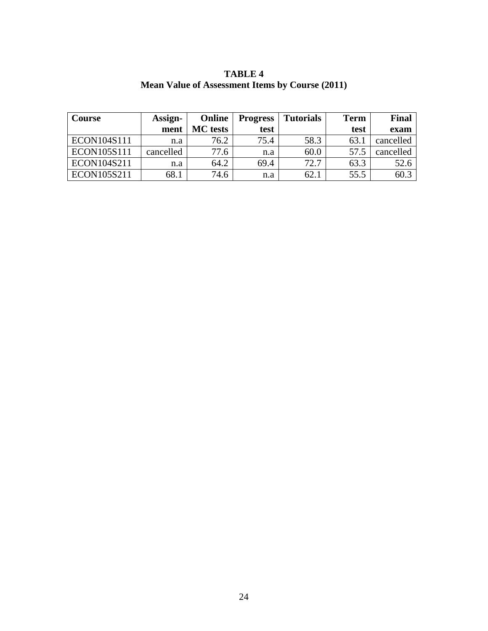| <b>Course</b> | Assign-   | Online          | <b>Progress</b> | <b>Tutorials</b> | <b>Term</b> | <b>Final</b> |
|---------------|-----------|-----------------|-----------------|------------------|-------------|--------------|
|               | ment      | <b>MC</b> tests | test            |                  | test        | exam         |
| ECON104S111   | n.a       | 76.2            | 75.4            | 58.3             | 63.         | cancelled    |
| ECON105S111   | cancelled | 77.6            | n.a             | 60.0             | 57.5        | cancelled    |
| ECON104S211   | n.a       | 64.2            | 69.4            | 72.7             | 63.3        | 52.6         |
| ECON105S211   | 68.1      | 74.6            | n.a             | 62.              | 55.5        | 60.2         |

**TABLE 4 Mean Value of Assessment Items by Course (2011)**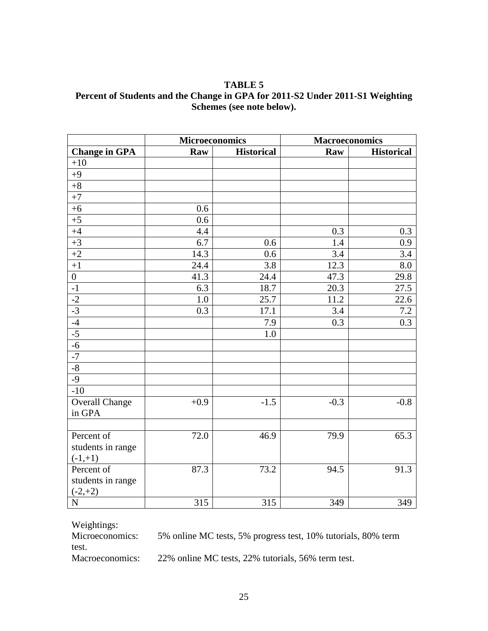**TABLE 5 Percent of Students and the Change in GPA for 2011-S2 Under 2011-S1 Weighting Schemes (see note below).**

|                       | <b>Microeconomics</b> |                   | <b>Macroeconomics</b> |                   |  |
|-----------------------|-----------------------|-------------------|-----------------------|-------------------|--|
| <b>Change in GPA</b>  | Raw                   | <b>Historical</b> | Raw                   | <b>Historical</b> |  |
| $+10$                 |                       |                   |                       |                   |  |
| $+9$                  |                       |                   |                       |                   |  |
| $+8$                  |                       |                   |                       |                   |  |
| $+7$                  |                       |                   |                       |                   |  |
| $+6$                  | 0.6                   |                   |                       |                   |  |
| $+5$                  | 0.6                   |                   |                       |                   |  |
| $+4$                  | 4.4                   |                   | 0.3                   | 0.3               |  |
| $+3$                  | 6.7                   | 0.6               | 1.4                   | 0.9               |  |
| $+2$                  | 14.3                  | 0.6               | 3.4                   | 3.4               |  |
| $+1$                  | 24.4                  | 3.8               | 12.3                  | 8.0               |  |
| $\overline{0}$        | 41.3                  | 24.4              | 47.3                  | 29.8              |  |
| $^{\rm -1}$           | 6.3                   | 18.7              | 20.3                  | 27.5              |  |
| $-2$                  | 1.0                   | 25.7              | 11.2                  | 22.6              |  |
| $-3$                  | 0.3                   | 17.1              | $3.4\,$               | 7.2               |  |
| $-4$                  |                       | 7.9               | 0.3                   | 0.3               |  |
| $-5$                  |                       | 1.0               |                       |                   |  |
| $-6$                  |                       |                   |                       |                   |  |
| $-7$                  |                       |                   |                       |                   |  |
| $-8$                  |                       |                   |                       |                   |  |
| $-9$                  |                       |                   |                       |                   |  |
| $-10$                 |                       |                   |                       |                   |  |
| <b>Overall Change</b> | $+0.9$                | $-1.5$            | $-0.3$                | $-0.8$            |  |
| in GPA                |                       |                   |                       |                   |  |
|                       |                       |                   |                       |                   |  |
| Percent of            | 72.0                  | 46.9              | 79.9                  | 65.3              |  |
| students in range     |                       |                   |                       |                   |  |
| $(-1,+1)$             |                       |                   |                       |                   |  |
| Percent of            | 87.3                  | 73.2              | 94.5                  | 91.3              |  |
| students in range     |                       |                   |                       |                   |  |
| $(-2,+2)$             |                       |                   |                       |                   |  |
| $\overline{N}$        | $\overline{315}$      | $\overline{315}$  | $\overline{349}$      | 349               |  |

Weightings:<br>Microeconomics: 5% online MC tests, 5% progress test, 10% tutorials, 80% term

test.

Macroeconomics: 22% online MC tests, 22% tutorials, 56% term test.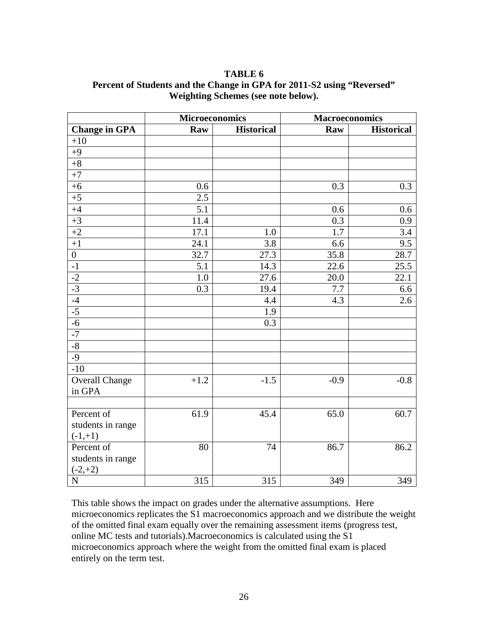| TABLE 6                                                                |
|------------------------------------------------------------------------|
| Percent of Students and the Change in GPA for 2011-S2 using "Reversed" |
| Weighting Schemes (see note below).                                    |

|                                    | <b>Microeconomics</b> |                   | <b>Macroeconomics</b> |                   |  |
|------------------------------------|-----------------------|-------------------|-----------------------|-------------------|--|
| <b>Change in GPA</b>               | Raw                   | <b>Historical</b> | Raw                   | <b>Historical</b> |  |
| $+10$                              |                       |                   |                       |                   |  |
| $+9$                               |                       |                   |                       |                   |  |
| $+8$                               |                       |                   |                       |                   |  |
| $+7$                               |                       |                   |                       |                   |  |
| $+6$                               | 0.6                   |                   | 0.3                   | 0.3               |  |
| $+5$                               | 2.5                   |                   |                       |                   |  |
| $+4$                               | 5.1                   |                   | 0.6                   | 0.6               |  |
| $+3$                               | 11.4                  |                   | $\overline{0.3}$      | 0.9               |  |
| $+2$                               | 17.1                  | 1.0               | 1.7                   | 3.4               |  |
| $+1$                               | 24.1                  | 3.8               | 6.6                   | 9.5               |  |
| $\overline{0}$                     | 32.7                  | 27.3              | 35.8                  | 28.7              |  |
| $^{\rm -1}$                        | 5.1                   | 14.3              | 22.6                  | 25.5              |  |
|                                    | 1.0                   | 27.6              | 20.0                  | 22.1              |  |
| $\frac{-2}{-3}$<br>$\frac{-3}{-4}$ | 0.3                   | 19.4              | 7.7                   | 6.6               |  |
|                                    |                       | 4.4               | 4.3                   | 2.6               |  |
| $-5$                               |                       | 1.9               |                       |                   |  |
| $-6$                               |                       | 0.3               |                       |                   |  |
| $-7$                               |                       |                   |                       |                   |  |
| $-8$                               |                       |                   |                       |                   |  |
| $-9$                               |                       |                   |                       |                   |  |
| $-10$                              |                       |                   |                       |                   |  |
| Overall Change                     | $+1.2$                | $-1.5$            | $-0.9$                | $-0.8$            |  |
| in GPA                             |                       |                   |                       |                   |  |
|                                    |                       |                   |                       |                   |  |
| Percent of                         | 61.9                  | 45.4              | 65.0                  | 60.7              |  |
| students in range                  |                       |                   |                       |                   |  |
| $(-1,+1)$                          |                       |                   |                       |                   |  |
| Percent of                         | 80                    | 74                | 86.7                  | 86.2              |  |
| students in range                  |                       |                   |                       |                   |  |
| $(-2,+2)$                          |                       |                   |                       |                   |  |
| $\overline{N}$                     | 315                   | 315               | 349                   | 349               |  |

This table shows the impact on grades under the alternative assumptions. Here microeconomics replicates the  $\overline{S1}$  macroeconomics approach and we distribute the weight of the omitted final exam equally over the remaining assessment items (progress test, online MC tests and tutorials).Macroeconomics is calculated using the S1 microeconomics approach where the weight from the omitted final exam is placed entirely on the term test.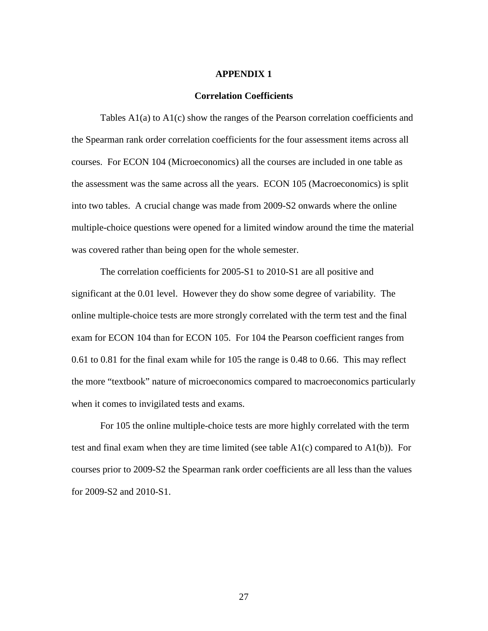#### **APPENDIX 1**

#### **Correlation Coefficients**

Tables A1(a) to A1(c) show the ranges of the Pearson correlation coefficients and the Spearman rank order correlation coefficients for the four assessment items across all courses. For ECON 104 (Microeconomics) all the courses are included in one table as the assessment was the same across all the years. ECON 105 (Macroeconomics) is split into two tables. A crucial change was made from 2009-S2 onwards where the online multiple-choice questions were opened for a limited window around the time the material was covered rather than being open for the whole semester.

The correlation coefficients for 2005-S1 to 2010-S1 are all positive and significant at the 0.01 level. However they do show some degree of variability. The online multiple-choice tests are more strongly correlated with the term test and the final exam for ECON 104 than for ECON 105. For 104 the Pearson coefficient ranges from 0.61 to 0.81 for the final exam while for 105 the range is 0.48 to 0.66. This may reflect the more "textbook" nature of microeconomics compared to macroeconomics particularly when it comes to invigilated tests and exams.

For 105 the online multiple-choice tests are more highly correlated with the term test and final exam when they are time limited (see table  $A1(c)$  compared to  $A1(b)$ ). For courses prior to 2009-S2 the Spearman rank order coefficients are all less than the values for 2009-S2 and 2010-S1.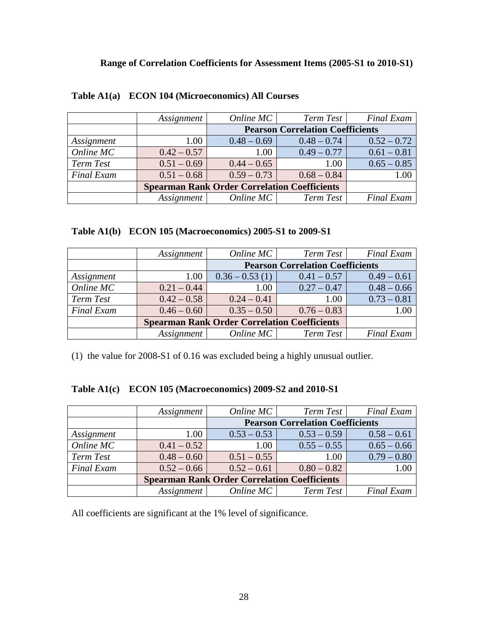|                   | <i>Assignment</i>                                   | Online MC                               | Term Test     | <b>Final Exam</b> |  |
|-------------------|-----------------------------------------------------|-----------------------------------------|---------------|-------------------|--|
|                   |                                                     | <b>Pearson Correlation Coefficients</b> |               |                   |  |
| Assignment        | 1.00                                                | $0.48 - 0.69$                           | $0.48 - 0.74$ | $0.52 - 0.72$     |  |
| Online MC         | $0.42 - 0.57$                                       | 1.00                                    | $0.49 - 0.77$ | $0.61 - 0.81$     |  |
| Term Test         | $0.51 - 0.69$                                       | $0.44 - 0.65$                           | 1.00          | $0.65 - 0.85$     |  |
| <b>Final Exam</b> | $0.51 - 0.68$                                       | $0.59 - 0.73$                           | $0.68 - 0.84$ | 1.00              |  |
|                   | <b>Spearman Rank Order Correlation Coefficients</b> |                                         |               |                   |  |
|                   | <i>Assignment</i>                                   | Online MC                               | Term Test     | <b>Final Exam</b> |  |

## **Table A1(a) ECON 104 (Microeconomics) All Courses**

|  |  | Table A1(b) ECON 105 (Macroeconomics) 2005-S1 to 2009-S1 |  |  |
|--|--|----------------------------------------------------------|--|--|
|--|--|----------------------------------------------------------|--|--|

|                   | <i>Assignment</i>                                   | Online MC                               | Term Test     | <b>Final Exam</b> |  |
|-------------------|-----------------------------------------------------|-----------------------------------------|---------------|-------------------|--|
|                   |                                                     | <b>Pearson Correlation Coefficients</b> |               |                   |  |
| Assignment        | 1.00                                                | $0.36 - 0.53(1)$                        | $0.41 - 0.57$ | $0.49 - 0.61$     |  |
| Online MC         | $0.21 - 0.44$                                       | 1.00                                    | $0.27 - 0.47$ | $0.48 - 0.66$     |  |
| Term Test         | $0.42 - 0.58$                                       | $0.24 - 0.41$                           | 1.00          | $0.73 - 0.81$     |  |
| <b>Final Exam</b> | $0.46 - 0.60$                                       | $0.35 - 0.50$                           | $0.76 - 0.83$ | $1.00\,$          |  |
|                   | <b>Spearman Rank Order Correlation Coefficients</b> |                                         |               |                   |  |
|                   | Assignment                                          | Online $MC$                             | Term Test     | <b>Final Exam</b> |  |

(1) the value for 2008-S1 of 0.16 was excluded being a highly unusual outlier.

|  |  | Table A1(c) ECON 105 (Macroeconomics) 2009-S2 and 2010-S1 |  |  |
|--|--|-----------------------------------------------------------|--|--|
|--|--|-----------------------------------------------------------|--|--|

|                   | Assignment        | Online MC                                           | Term Test                               | <b>Final Exam</b> |
|-------------------|-------------------|-----------------------------------------------------|-----------------------------------------|-------------------|
|                   |                   |                                                     | <b>Pearson Correlation Coefficients</b> |                   |
| Assignment        | 1.00              | $0.53 - 0.53$                                       | $0.53 - 0.59$                           | $0.58 - 0.61$     |
| Online MC         | $0.41 - 0.52$     | 1.00                                                | $0.55 - 0.55$                           | $0.65 - 0.66$     |
| Term Test         | $0.48 - 0.60$     | $0.51 - 0.55$                                       | 1.00                                    | $0.79 - 0.80$     |
| <b>Final Exam</b> | $0.52 - 0.66$     | $0.52 - 0.61$                                       | $0.80 - 0.82$                           | 1.00              |
|                   |                   | <b>Spearman Rank Order Correlation Coefficients</b> |                                         |                   |
|                   | <i>Assignment</i> | Online MC                                           | Term Test                               | <b>Final Exam</b> |

All coefficients are significant at the 1% level of significance.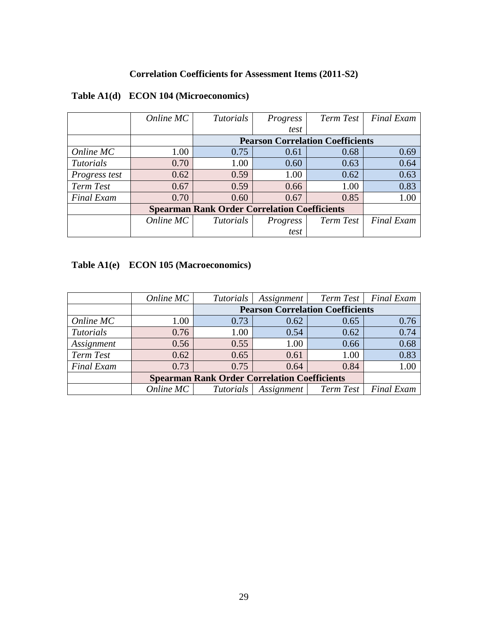## **Correlation Coefficients for Assessment Items (2011-S2)**

|                   | Online MC | <i>Tutorials</i>                                    | Progress | Term Test                               | <b>Final Exam</b> |
|-------------------|-----------|-----------------------------------------------------|----------|-----------------------------------------|-------------------|
|                   |           |                                                     | test     |                                         |                   |
|                   |           |                                                     |          | <b>Pearson Correlation Coefficients</b> |                   |
| Online MC         | 1.00      | 0.75                                                | 0.61     | 0.68                                    | 0.69              |
| <b>Tutorials</b>  | 0.70      | 1.00                                                | 0.60     | 0.63                                    | 0.64              |
| Progress test     | 0.62      | 0.59                                                | 1.00     | 0.62                                    | 0.63              |
| <b>Term Test</b>  | 0.67      | 0.59                                                | 0.66     | 1.00                                    | 0.83              |
| <b>Final Exam</b> | 0.70      | 0.60                                                | 0.67     | 0.85                                    | 1.00              |
|                   |           | <b>Spearman Rank Order Correlation Coefficients</b> |          |                                         |                   |
|                   | Online MC | <i>Tutorials</i>                                    | Progress | Term Test                               | <b>Final Exam</b> |
|                   |           |                                                     | test     |                                         |                   |

## **Table A1(d) ECON 104 (Microeconomics)**

# **Table A1(e) ECON 105 (Macroeconomics)**

|                   | Online MC | <b>Tutorials</b>                                    | Assignment        | Term Test                               | <b>Final Exam</b> |  |  |  |  |  |
|-------------------|-----------|-----------------------------------------------------|-------------------|-----------------------------------------|-------------------|--|--|--|--|--|
|                   |           |                                                     |                   | <b>Pearson Correlation Coefficients</b> |                   |  |  |  |  |  |
| Online MC         | 1.00      | 0.73                                                | 0.62              | 0.65                                    | 0.76              |  |  |  |  |  |
| <b>Tutorials</b>  | 0.76      | 1.00                                                | 0.54              | 0.62                                    | 0.74              |  |  |  |  |  |
| Assignment        | 0.56      | 0.55                                                | 1.00              | 0.66                                    | 0.68              |  |  |  |  |  |
| Term Test         | 0.62      | 0.65                                                | 0.61              | 1.00                                    | 0.83              |  |  |  |  |  |
| <b>Final Exam</b> | 0.73      | 0.75                                                | 0.64              | 0.84                                    | 1.00              |  |  |  |  |  |
|                   |           | <b>Spearman Rank Order Correlation Coefficients</b> |                   |                                         |                   |  |  |  |  |  |
|                   | Online MC | <i>Tutorials</i>                                    | <i>Assignment</i> | Term Test                               | <b>Final Exam</b> |  |  |  |  |  |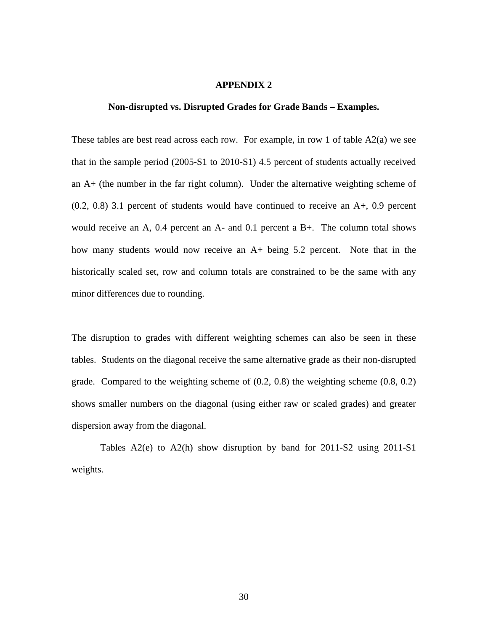### **APPENDIX 2**

#### **Non-disrupted vs. Disrupted Grades for Grade Bands – Examples.**

These tables are best read across each row. For example, in row 1 of table  $A2(a)$  we see that in the sample period (2005-S1 to 2010-S1) 4.5 percent of students actually received an A+ (the number in the far right column). Under the alternative weighting scheme of (0.2, 0.8) 3.1 percent of students would have continued to receive an A+, 0.9 percent would receive an A, 0.4 percent an A- and 0.1 percent a B+. The column total shows how many students would now receive an A+ being 5.2 percent. Note that in the historically scaled set, row and column totals are constrained to be the same with any minor differences due to rounding.

The disruption to grades with different weighting schemes can also be seen in these tables. Students on the diagonal receive the same alternative grade as their non-disrupted grade. Compared to the weighting scheme of (0.2, 0.8) the weighting scheme (0.8, 0.2) shows smaller numbers on the diagonal (using either raw or scaled grades) and greater dispersion away from the diagonal.

Tables A2(e) to A2(h) show disruption by band for 2011-S2 using 2011-S1 weights.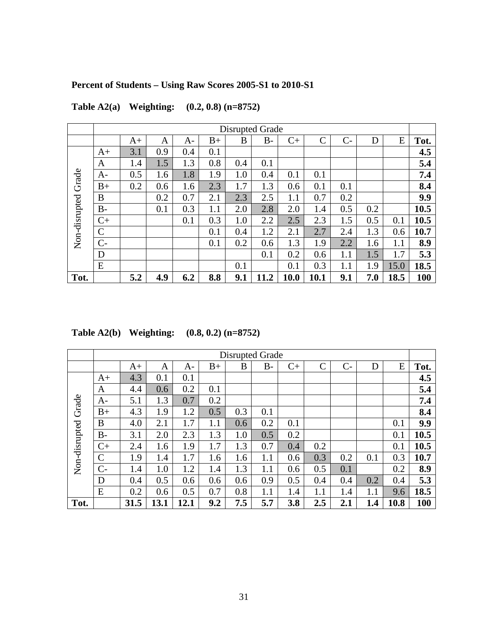# **Percent of Students – Using Raw Scores 2005-S1 to 2010-S1**

|                     |               |      |     |     |      |     | <b>Disrupted Grade</b> |         |      |         |     |      |      |
|---------------------|---------------|------|-----|-----|------|-----|------------------------|---------|------|---------|-----|------|------|
|                     |               | $A+$ | A   | A-  | $B+$ | B   | $B -$                  | $C+$    | C    | $C-$    | D   | E    | Tot. |
|                     | $A+$          | 3.1  | 0.9 | 0.4 | 0.1  |     |                        |         |      |         |     |      | 4.5  |
|                     | A             | 1.4  | 1.5 | 1.3 | 0.8  | 0.4 | 0.1                    |         |      |         |     |      | 5.4  |
| Non-disrupted Grade | A-            | 0.5  | 1.6 | 1.8 | 1.9  | 1.0 | 0.4                    | 0.1     | 0.1  |         |     |      | 7.4  |
|                     | $B+$          | 0.2  | 0.6 | 1.6 | 2.3  | 1.7 | 1.3                    | 0.6     | 0.1  | 0.1     |     |      | 8.4  |
|                     | B             |      | 0.2 | 0.7 | 2.1  | 2.3 | 2.5                    | $1.1\,$ | 0.7  | 0.2     |     |      | 9.9  |
|                     | <b>B-</b>     |      | 0.1 | 0.3 | 1.1  | 2.0 | 2.8                    | 2.0     | 1.4  | 0.5     | 0.2 |      | 10.5 |
|                     | $C+$          |      |     | 0.1 | 0.3  | 1.0 | 2.2                    | 2.5     | 2.3  | 1.5     | 0.5 | 0.1  | 10.5 |
|                     | $\mathcal{C}$ |      |     |     | 0.1  | 0.4 | 1.2                    | 2.1     | 2.7  | 2.4     | 1.3 | 0.6  | 10.7 |
|                     | $C-$          |      |     |     | 0.1  | 0.2 | 0.6                    | 1.3     | 1.9  | 2.2     | 1.6 | 1.1  | 8.9  |
|                     | D             |      |     |     |      |     | 0.1                    | 0.2     | 0.6  | 1.1     | 1.5 | 1.7  | 5.3  |
|                     | E             |      |     |     |      | 0.1 |                        | 0.1     | 0.3  | $1.1\,$ | 1.9 | 15.0 | 18.5 |
| Tot.                |               | 5.2  | 4.9 | 6.2 | 8.8  | 9.1 | 11.2                   | 10.0    | 10.1 | 9.1     | 7.0 | 18.5 | 100  |

**Table A2(a) Weighting: (0.2, 0.8) (n=8752)**

|  | Table A2(b) Weighting: | $(0.8, 0.2)$ (n=8752) |
|--|------------------------|-----------------------|
|--|------------------------|-----------------------|

|                     |             |      |      |      |      | Disrupted Grade |         |      |              |      |     |      |      |
|---------------------|-------------|------|------|------|------|-----------------|---------|------|--------------|------|-----|------|------|
|                     |             | $A+$ | A    | A-   | $B+$ | B               | $B -$   | $C+$ | $\mathsf{C}$ | $C-$ | D   | E    | Tot. |
|                     | $A+$        | 4.3  | 0.1  | 0.1  |      |                 |         |      |              |      |     |      | 4.5  |
|                     | A           | 4.4  | 0.6  | 0.2  | 0.1  |                 |         |      |              |      |     |      | 5.4  |
|                     | A-          | 5.1  | 1.3  | 0.7  | 0.2  |                 |         |      |              |      |     |      | 7.4  |
|                     | $B+$        | 4.3  | 1.9  | 1.2  | 0.5  | 0.3             | 0.1     |      |              |      |     |      | 8.4  |
|                     | B           | 4.0  | 2.1  | 1.7  | 1.1  | 0.6             | 0.2     | 0.1  |              |      |     | 0.1  | 9.9  |
| Non-disrupted Grade | $B -$       | 3.1  | 2.0  | 2.3  | 1.3  | 1.0             | 0.5     | 0.2  |              |      |     | 0.1  | 10.5 |
|                     | $C+$        | 2.4  | 1.6  | 1.9  | 1.7  | 1.3             | 0.7     | 0.4  | 0.2          |      |     | 0.1  | 10.5 |
|                     | $\mathbf C$ | 1.9  | 1.4  | 1.7  | 1.6  | 1.6             | 1.1     | 0.6  | 0.3          | 0.2  | 0.1 | 0.3  | 10.7 |
|                     | $C-$        | 1.4  | 1.0  | 1.2  | 1.4  | 1.3             | $1.1\,$ | 0.6  | 0.5          | 0.1  |     | 0.2  | 8.9  |
|                     | D           | 0.4  | 0.5  | 0.6  | 0.6  | 0.6             | 0.9     | 0.5  | 0.4          | 0.4  | 0.2 | 0.4  | 5.3  |
|                     | E           | 0.2  | 0.6  | 0.5  | 0.7  | 0.8             | 1.1     | 1.4  | 1.1          | 1.4  | 1.1 | 9.6  | 18.5 |
| Tot.                |             | 31.5 | 13.1 | 12.1 | 9.2  | 7.5             | 5.7     | 3.8  | 2.5          | 2.1  | 1.4 | 10.8 | 100  |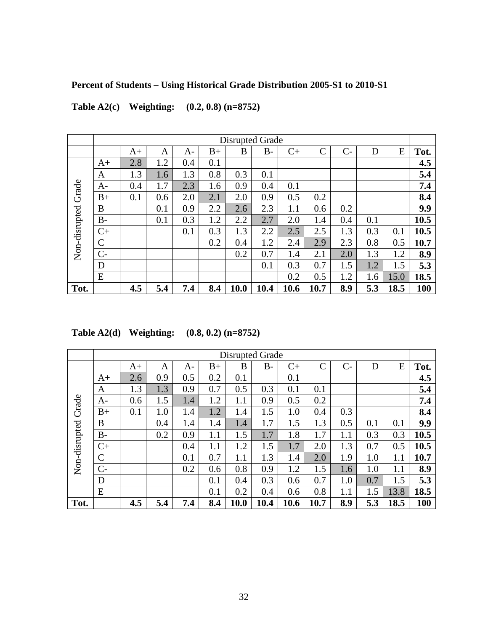# **Percent of Students – Using Historical Grade Distribution 2005-S1 to 2010-S1**

|                     |              |      |     |     |      | <b>Disrupted Grade</b> |      |      |              |      |     |      |      |
|---------------------|--------------|------|-----|-----|------|------------------------|------|------|--------------|------|-----|------|------|
|                     |              | $A+$ | A   | A-  | $B+$ | B                      | $B-$ | $C+$ | $\mathsf{C}$ | $C-$ | D   | E    | Tot. |
|                     | $A+$         | 2.8  | 1.2 | 0.4 | 0.1  |                        |      |      |              |      |     |      | 4.5  |
|                     | A            | 1.3  | 1.6 | 1.3 | 0.8  | 0.3                    | 0.1  |      |              |      |     |      | 5.4  |
|                     | A-           | 0.4  | 1.7 | 2.3 | 1.6  | 0.9                    | 0.4  | 0.1  |              |      |     |      | 7.4  |
|                     | $B+$         | 0.1  | 0.6 | 2.0 | 2.1  | 2.0                    | 0.9  | 0.5  | 0.2          |      |     |      | 8.4  |
|                     | B            |      | 0.1 | 0.9 | 2.2  | 2.6                    | 2.3  | 1.1  | 0.6          | 0.2  |     |      | 9.9  |
|                     | <b>B-</b>    |      | 0.1 | 0.3 | 1.2  | 2.2                    | 2.7  | 2.0  | 1.4          | 0.4  | 0.1 |      | 10.5 |
| Non-disrupted Grade | $C+$         |      |     | 0.1 | 0.3  | 1.3                    | 2.2  | 2.5  | 2.5          | 1.3  | 0.3 | 0.1  | 10.5 |
|                     | $\mathsf{C}$ |      |     |     | 0.2  | 0.4                    | 1.2  | 2.4  | 2.9          | 2.3  | 0.8 | 0.5  | 10.7 |
|                     | $C-$         |      |     |     |      | 0.2                    | 0.7  | 1.4  | 2.1          | 2.0  | 1.3 | 1.2  | 8.9  |
|                     | D            |      |     |     |      |                        | 0.1  | 0.3  | 0.7          | 1.5  | 1.2 | 1.5  | 5.3  |
|                     | E            |      |     |     |      |                        |      | 0.2  | 0.5          | 1.2  | 1.6 | 15.0 | 18.5 |
| Tot.                |              | 4.5  | 5.4 | 7.4 | 8.4  | 10.0                   | 10.4 | 10.6 | 10.7         | 8.9  | 5.3 | 18.5 | 100  |

**Table A2(c) Weighting: (0.2, 0.8) (n=8752)**

**Table A2(d) Weighting: (0.8, 0.2) (n=8752)**

|                     |               |      |     |     |      | Disrupted Grade |       |      |              |      |     |      |      |
|---------------------|---------------|------|-----|-----|------|-----------------|-------|------|--------------|------|-----|------|------|
|                     |               | $A+$ | A   | A-  | $B+$ | B               | $B -$ | $C+$ | $\mathsf{C}$ | $C-$ | D   | E    | Tot. |
|                     | $A+$          | 2.6  | 0.9 | 0.5 | 0.2  | 0.1             |       | 0.1  |              |      |     |      | 4.5  |
|                     | A             | 1.3  | 1.3 | 0.9 | 0.7  | 0.5             | 0.3   | 0.1  | 0.1          |      |     |      | 5.4  |
|                     | $A-$          | 0.6  | 1.5 | 1.4 | 1.2  | 1.1             | 0.9   | 0.5  | 0.2          |      |     |      | 7.4  |
|                     | $B+$          | 0.1  | 1.0 | 1.4 | 1.2  | 1.4             | 1.5   | 1.0  | 0.4          | 0.3  |     |      | 8.4  |
| Non-disrupted Grade | B             |      | 0.4 | 1.4 | 1.4  | 1.4             | 1.7   | 1.5  | 1.3          | 0.5  | 0.1 | 0.1  | 9.9  |
|                     | $B -$         |      | 0.2 | 0.9 | 1.1  | 1.5             | 1.7   | 1.8  | 1.7          | 1.1  | 0.3 | 0.3  | 10.5 |
|                     | $C+$          |      |     | 0.4 | 1.1  | 1.2             | 1.5   | 1.7  | 2.0          | 1.3  | 0.7 | 0.5  | 10.5 |
|                     | $\mathcal{C}$ |      |     | 0.1 | 0.7  | $1.1\,$         | 1.3   | 1.4  | 2.0          | 1.9  | 1.0 | 1.1  | 10.7 |
|                     | $C-$          |      |     | 0.2 | 0.6  | 0.8             | 0.9   | 1.2  | 1.5          | 1.6  | 1.0 | 1.1  | 8.9  |
|                     | D             |      |     |     | 0.1  | 0.4             | 0.3   | 0.6  | 0.7          | 1.0  | 0.7 | 1.5  | 5.3  |
|                     | E             |      |     |     | 0.1  | 0.2             | 0.4   | 0.6  | 0.8          | 1.1  | 1.5 | 13.8 | 18.5 |
| Tot.                |               | 4.5  | 5.4 | 7.4 | 8.4  | 10.0            | 10.4  | 10.6 | 10.7         | 8.9  | 5.3 | 18.5 | 100  |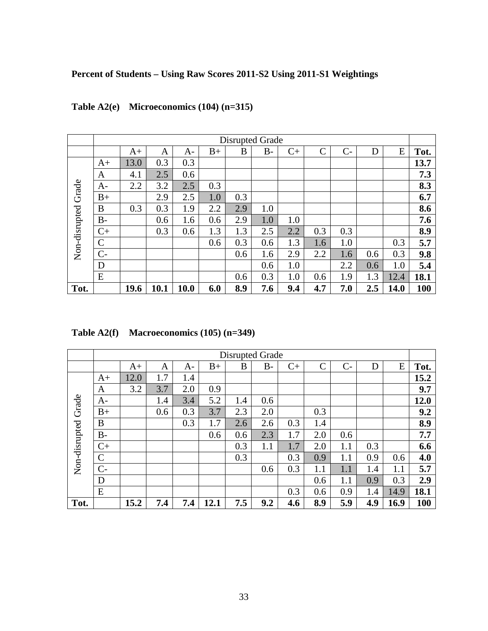## **Percent of Students – Using Raw Scores 2011-S2 Using 2011-S1 Weightings**

|                     |             |      |      |      |      | Disrupted Grade |       |      |                    |       |     |      |      |
|---------------------|-------------|------|------|------|------|-----------------|-------|------|--------------------|-------|-----|------|------|
|                     |             | $A+$ | A    | A-   | $B+$ | B               | $B -$ | $C+$ | $\overline{\rm C}$ | $C -$ | D   | E    | Tot. |
|                     | $A+$        | 13.0 | 0.3  | 0.3  |      |                 |       |      |                    |       |     |      | 13.7 |
|                     | A           | 4.1  | 2.5  | 0.6  |      |                 |       |      |                    |       |     |      | 7.3  |
|                     | A-          | 2.2  | 3.2  | 2.5  | 0.3  |                 |       |      |                    |       |     |      | 8.3  |
| Non-disrupted Grade | $B+$        |      | 2.9  | 2.5  | 1.0  | 0.3             |       |      |                    |       |     |      | 6.7  |
|                     | B           | 0.3  | 0.3  | 1.9  | 2.2  | 2.9             | 1.0   |      |                    |       |     |      | 8.6  |
|                     | <b>B-</b>   |      | 0.6  | 1.6  | 0.6  | 2.9             | 1.0   | 1.0  |                    |       |     |      | 7.6  |
|                     | $C+$        |      | 0.3  | 0.6  | 1.3  | 1.3             | 2.5   | 2.2  | 0.3                | 0.3   |     |      | 8.9  |
|                     | $\mathbf C$ |      |      |      | 0.6  | 0.3             | 0.6   | 1.3  | 1.6                | 1.0   |     | 0.3  | 5.7  |
|                     | $C-$        |      |      |      |      | 0.6             | 1.6   | 2.9  | 2.2                | 1.6   | 0.6 | 0.3  | 9.8  |
|                     | D           |      |      |      |      |                 | 0.6   | 1.0  |                    | 2.2   | 0.6 | 1.0  | 5.4  |
|                     | E           |      |      |      |      | 0.6             | 0.3   | 1.0  | 0.6                | 1.9   | 1.3 | 12.4 | 18.1 |
| Tot.                |             | 19.6 | 10.1 | 10.0 | 6.0  | 8.9             | 7.6   | 9.4  | 4.7                | 7.0   | 2.5 | 14.0 | 100  |

# **Table A2(e) Microeconomics (104) (n=315)**

| Table A2(f) | Macroeconomics $(105)$ (n=349) |  |
|-------------|--------------------------------|--|
|-------------|--------------------------------|--|

|                     |             |      |     |     |      | <b>Disrupted Grade</b> |         |      |               |      |     |      |      |
|---------------------|-------------|------|-----|-----|------|------------------------|---------|------|---------------|------|-----|------|------|
|                     |             | $A+$ | A   | A-  | $B+$ | B                      | $B-$    | $C+$ | $\mathcal{C}$ | $C-$ | D   | E    | Tot. |
|                     | $A+$        | 12.0 | 1.7 | 1.4 |      |                        |         |      |               |      |     |      | 15.2 |
|                     | A           | 3.2  | 3.7 | 2.0 | 0.9  |                        |         |      |               |      |     |      | 9.7  |
|                     | A-          |      | 1.4 | 3.4 | 5.2  | 1.4                    | 0.6     |      |               |      |     |      | 12.0 |
|                     | $B+$        |      | 0.6 | 0.3 | 3.7  | 2.3                    | 2.0     |      | 0.3           |      |     |      | 9.2  |
|                     | B           |      |     | 0.3 | 1.7  | 2.6                    | 2.6     | 0.3  | 1.4           |      |     |      | 8.9  |
| Non-disrupted Grade | $B -$       |      |     |     | 0.6  | 0.6                    | 2.3     | 1.7  | 2.0           | 0.6  |     |      | 7.7  |
|                     | $C+$        |      |     |     |      | 0.3                    | $1.1\,$ | 1.7  | 2.0           | 1.1  | 0.3 |      | 6.6  |
|                     | $\mathbf C$ |      |     |     |      | 0.3                    |         | 0.3  | 0.9           | 1.1  | 0.9 | 0.6  | 4.0  |
|                     | $C-$        |      |     |     |      |                        | 0.6     | 0.3  | 1.1           | 1.1  | 1.4 | 1.1  | 5.7  |
|                     | D           |      |     |     |      |                        |         |      | 0.6           | 1.1  | 0.9 | 0.3  | 2.9  |
|                     | E           |      |     |     |      |                        |         | 0.3  | 0.6           | 0.9  | 1.4 | 14.9 | 18.1 |
| Tot.                |             | 15.2 | 7.4 | 7.4 | 12.1 | 7.5                    | 9.2     | 4.6  | 8.9           | 5.9  | 4.9 | 16.9 | 100  |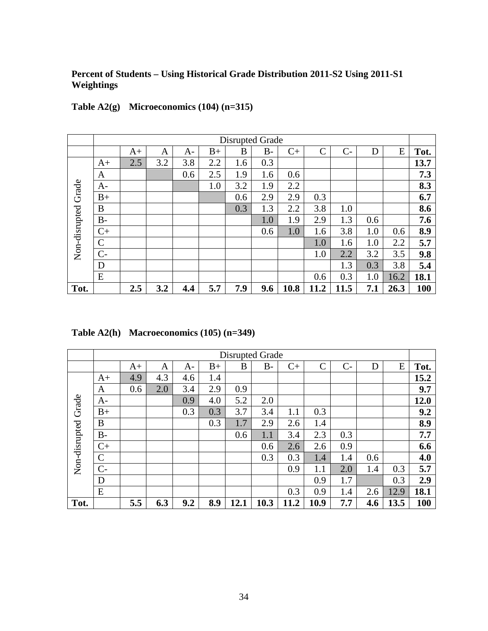## **Percent of Students – Using Historical Grade Distribution 2011-S2 Using 2011-S1 Weightings**

|                     |             |      |     |     |      | Disrupted Grade |       |      |                |      |     |      |      |
|---------------------|-------------|------|-----|-----|------|-----------------|-------|------|----------------|------|-----|------|------|
|                     |             | $A+$ | A   | A-  | $B+$ | B               | $B -$ | $C+$ | $\overline{C}$ | $C-$ | D   | E    | Tot. |
|                     | $A+$        | 2.5  | 3.2 | 3.8 | 2.2  | 1.6             | 0.3   |      |                |      |     |      | 13.7 |
|                     | A           |      |     | 0.6 | 2.5  | 1.9             | 1.6   | 0.6  |                |      |     |      | 7.3  |
|                     | A-          |      |     |     | 1.0  | 3.2             | 1.9   | 2.2  |                |      |     |      | 8.3  |
| Non-disrupted Grade | $B+$        |      |     |     |      | 0.6             | 2.9   | 2.9  | 0.3            |      |     |      | 6.7  |
|                     | B           |      |     |     |      | 0.3             | 1.3   | 2.2  | 3.8            | 1.0  |     |      | 8.6  |
|                     | <b>B-</b>   |      |     |     |      |                 | 1.0   | 1.9  | 2.9            | 1.3  | 0.6 |      | 7.6  |
|                     | $C+$        |      |     |     |      |                 | 0.6   | 1.0  | 1.6            | 3.8  | 1.0 | 0.6  | 8.9  |
|                     | $\mathbf C$ |      |     |     |      |                 |       |      | 1.0            | 1.6  | 1.0 | 2.2  | 5.7  |
|                     | $C-$        |      |     |     |      |                 |       |      | 1.0            | 2.2  | 3.2 | 3.5  | 9.8  |
|                     | D           |      |     |     |      |                 |       |      |                | 1.3  | 0.3 | 3.8  | 5.4  |
|                     | E           |      |     |     |      |                 |       |      | 0.6            | 0.3  | 1.0 | 16.2 | 18.1 |
| Tot.                |             | 2.5  | 3.2 | 4.4 | 5.7  | 7.9             | 9.6   | 10.8 | 11.2           | 11.5 | 7.1 | 26.3 | 100  |

# **Table A2(g) Microeconomics (104) (n=315)**

|  | Table $A2(h)$ Macroeconomics $(105)$ $(n=349)$ |  |
|--|------------------------------------------------|--|
|--|------------------------------------------------|--|

|                     | <b>Disrupted Grade</b> |      |     |     |      |      |       |      |              |      |     |      |      |
|---------------------|------------------------|------|-----|-----|------|------|-------|------|--------------|------|-----|------|------|
|                     |                        | $A+$ | Α   | A-  | $B+$ | B    | $B -$ | $C+$ | $\mathsf{C}$ | $C-$ | D   | E    | Tot. |
|                     | $A+$                   | 4.9  | 4.3 | 4.6 | 1.4  |      |       |      |              |      |     |      | 15.2 |
|                     | A                      | 0.6  | 2.0 | 3.4 | 2.9  | 0.9  |       |      |              |      |     |      | 9.7  |
|                     | $A-$                   |      |     | 0.9 | 4.0  | 5.2  | 2.0   |      |              |      |     |      | 12.0 |
|                     | $B+$                   |      |     | 0.3 | 0.3  | 3.7  | 3.4   | 1.1  | 0.3          |      |     |      | 9.2  |
|                     | B                      |      |     |     | 0.3  | 1.7  | 2.9   | 2.6  | 1.4          |      |     |      | 8.9  |
| Non-disrupted Grade | $B -$                  |      |     |     |      | 0.6  | 1.1   | 3.4  | 2.3          | 0.3  |     |      | 7.7  |
|                     | $C+$                   |      |     |     |      |      | 0.6   | 2.6  | 2.6          | 0.9  |     |      | 6.6  |
|                     | $\mathcal{C}$          |      |     |     |      |      | 0.3   | 0.3  | 1.4          | 1.4  | 0.6 |      | 4.0  |
|                     | $C-$                   |      |     |     |      |      |       | 0.9  | 1.1          | 2.0  | 1.4 | 0.3  | 5.7  |
|                     | D                      |      |     |     |      |      |       |      | 0.9          | 1.7  |     | 0.3  | 2.9  |
|                     | E                      |      |     |     |      |      |       | 0.3  | 0.9          | 1.4  | 2.6 | 12.9 | 18.1 |
| Tot.                |                        | 5.5  | 6.3 | 9.2 | 8.9  | 12.1 | 10.3  | 11.2 | 10.9         | 7.7  | 4.6 | 13.5 | 100  |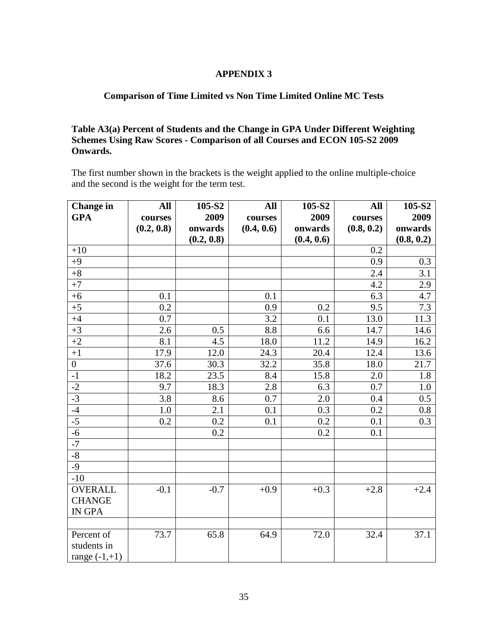## **APPENDIX 3**

## **Comparison of Time Limited vs Non Time Limited Online MC Tests**

## **Table A3(a) Percent of Students and the Change in GPA Under Different Weighting Schemes Using Raw Scores - Comparison of all Courses and ECON 105-S2 2009 Onwards.**

The first number shown in the brackets is the weight applied to the online multiple-choice and the second is the weight for the term test.

| <b>Change</b> in | All        | 105-S2     | All        | 105-S2     | All        | 105-S2     |
|------------------|------------|------------|------------|------------|------------|------------|
| <b>GPA</b>       | courses    | 2009       | courses    | 2009       | courses    | 2009       |
|                  | (0.2, 0.8) | onwards    | (0.4, 0.6) | onwards    | (0.8, 0.2) | onwards    |
|                  |            | (0.2, 0.8) |            | (0.4, 0.6) |            | (0.8, 0.2) |
| $+10$            |            |            |            |            | 0.2        |            |
| $+9$             |            |            |            |            | 0.9        | 0.3        |
| $+8$             |            |            |            |            | 2.4        | 3.1        |
| $+7$             |            |            |            |            | 4.2        | 2.9        |
| $+6$             | 0.1        |            | 0.1        |            | 6.3        | 4.7        |
| $+5$             | 0.2        |            | 0.9        | 0.2        | 9.5        | 7.3        |
| $+4$             | 0.7        |            | 3.2        | 0.1        | 13.0       | 11.3       |
| $+3$             | 2.6        | 0.5        | 8.8        | 6.6        | 14.7       | 14.6       |
| $+2$             | 8.1        | 4.5        | 18.0       | 11.2       | 14.9       | 16.2       |
| $+1$             | 17.9       | 12.0       | 24.3       | 20.4       | 12.4       | 13.6       |
| $\boldsymbol{0}$ | 37.6       | 30.3       | 32.2       | 35.8       | 18.0       | 21.7       |
| $-1$             | 18.2       | 23.5       | 8.4        | 15.8       | 2.0        | 1.8        |
| $\frac{-2}{-3}$  | 9.7        | 18.3       | 2.8        | 6.3        | 0.7        | 1.0        |
|                  | 3.8        | 8.6        | 0.7        | 2.0        | 0.4        | 0.5        |
| $-4$             | 1.0        | 2.1        | 0.1        | 0.3        | 0.2        | 0.8        |
| $-5$             | 0.2        | 0.2        | 0.1        | 0.2        | 0.1        | 0.3        |
| $-6$             |            | 0.2        |            | 0.2        | 0.1        |            |
| $-7$             |            |            |            |            |            |            |
| $-8$             |            |            |            |            |            |            |
| $-9$             |            |            |            |            |            |            |
| $-10$            |            |            |            |            |            |            |
| <b>OVERALL</b>   | $-0.1$     | $-0.7$     | $+0.9$     | $+0.3$     | $+2.8$     | $+2.4$     |
| <b>CHANGE</b>    |            |            |            |            |            |            |
| <b>IN GPA</b>    |            |            |            |            |            |            |
|                  |            |            |            |            |            |            |
| Percent of       | 73.7       | 65.8       | 64.9       | 72.0       | 32.4       | 37.1       |
| students in      |            |            |            |            |            |            |
| range $(-1,+1)$  |            |            |            |            |            |            |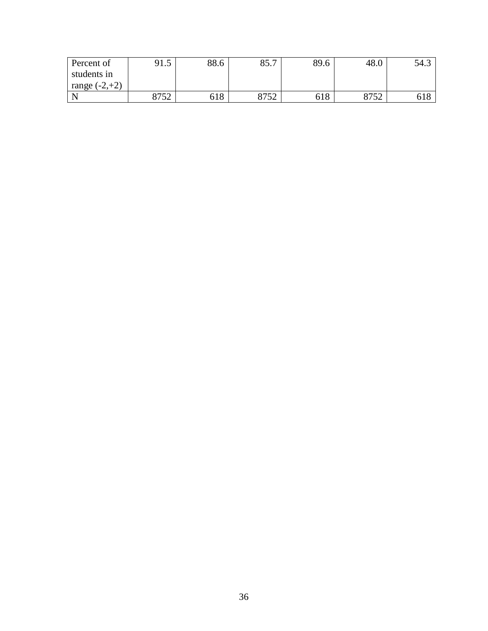| Percent of           | $\epsilon$<br>1.J | 88.6 | 85.7        | 89.6 | 48.0 | 54.3 |
|----------------------|-------------------|------|-------------|------|------|------|
| students in          |                   |      |             |      |      |      |
| $(-2,+2)$<br>range ( |                   |      |             |      |      |      |
|                      | 9750<br>0   J 4   | 618  | 9752<br>ے ب | 618  | 0750 | 618  |